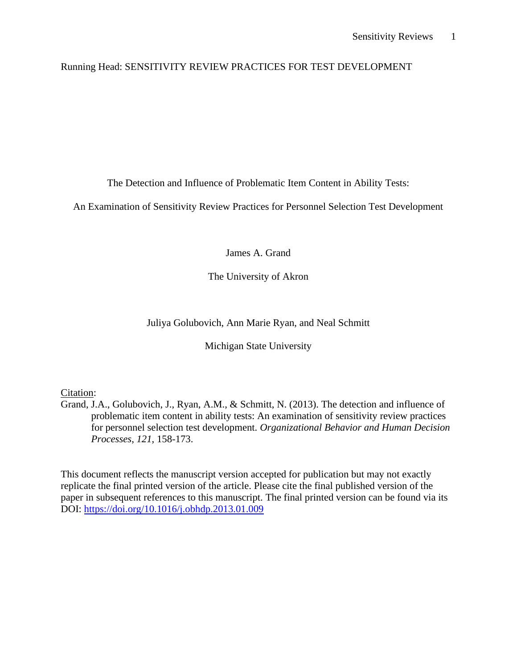# Running Head: SENSITIVITY REVIEW PRACTICES FOR TEST DEVELOPMENT

The Detection and Influence of Problematic Item Content in Ability Tests:

An Examination of Sensitivity Review Practices for Personnel Selection Test Development

James A. Grand

The University of Akron

Juliya Golubovich, Ann Marie Ryan, and Neal Schmitt

Michigan State University

Citation:

Grand, J.A., Golubovich, J., Ryan, A.M., & Schmitt, N. (2013). The detection and influence of problematic item content in ability tests: An examination of sensitivity review practices for personnel selection test development. *Organizational Behavior and Human Decision Processes*, *121*, 158-173.

This document reflects the manuscript version accepted for publication but may not exactly replicate the final printed version of the article. Please cite the final published version of the paper in subsequent references to this manuscript. The final printed version can be found via its DOI:<https://doi.org/10.1016/j.obhdp.2013.01.009>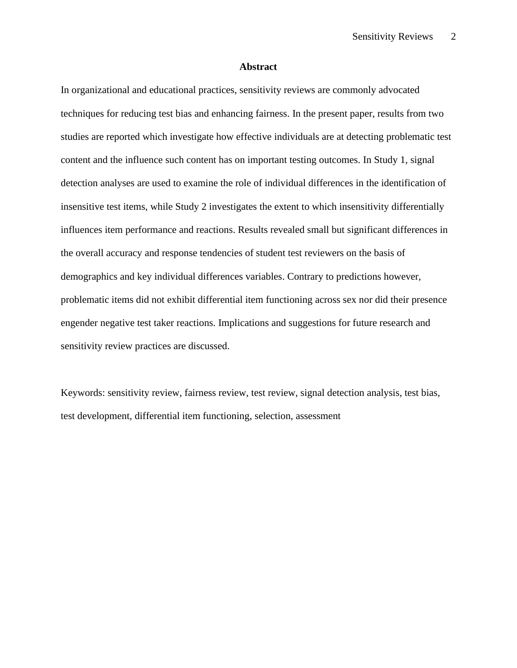#### **Abstract**

In organizational and educational practices, sensitivity reviews are commonly advocated techniques for reducing test bias and enhancing fairness. In the present paper, results from two studies are reported which investigate how effective individuals are at detecting problematic test content and the influence such content has on important testing outcomes. In Study 1, signal detection analyses are used to examine the role of individual differences in the identification of insensitive test items, while Study 2 investigates the extent to which insensitivity differentially influences item performance and reactions. Results revealed small but significant differences in the overall accuracy and response tendencies of student test reviewers on the basis of demographics and key individual differences variables. Contrary to predictions however, problematic items did not exhibit differential item functioning across sex nor did their presence engender negative test taker reactions. Implications and suggestions for future research and sensitivity review practices are discussed.

Keywords: sensitivity review, fairness review, test review, signal detection analysis, test bias, test development, differential item functioning, selection, assessment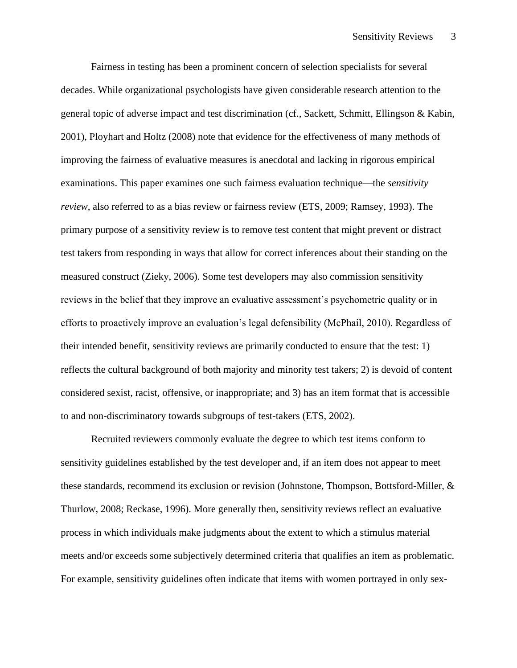Fairness in testing has been a prominent concern of selection specialists for several decades. While organizational psychologists have given considerable research attention to the general topic of adverse impact and test discrimination (cf., Sackett, Schmitt, Ellingson & Kabin, 2001), Ployhart and Holtz (2008) note that evidence for the effectiveness of many methods of improving the fairness of evaluative measures is anecdotal and lacking in rigorous empirical examinations. This paper examines one such fairness evaluation technique—the *sensitivity review*, also referred to as a bias review or fairness review (ETS, 2009; Ramsey, 1993). The primary purpose of a sensitivity review is to remove test content that might prevent or distract test takers from responding in ways that allow for correct inferences about their standing on the measured construct (Zieky, 2006). Some test developers may also commission sensitivity reviews in the belief that they improve an evaluative assessment's psychometric quality or in efforts to proactively improve an evaluation's legal defensibility (McPhail, 2010). Regardless of their intended benefit, sensitivity reviews are primarily conducted to ensure that the test: 1) reflects the cultural background of both majority and minority test takers; 2) is devoid of content considered sexist, racist, offensive, or inappropriate; and 3) has an item format that is accessible to and non-discriminatory towards subgroups of test-takers (ETS, 2002).

Recruited reviewers commonly evaluate the degree to which test items conform to sensitivity guidelines established by the test developer and, if an item does not appear to meet these standards, recommend its exclusion or revision (Johnstone, Thompson, Bottsford-Miller, & Thurlow, 2008; Reckase, 1996). More generally then, sensitivity reviews reflect an evaluative process in which individuals make judgments about the extent to which a stimulus material meets and/or exceeds some subjectively determined criteria that qualifies an item as problematic. For example, sensitivity guidelines often indicate that items with women portrayed in only sex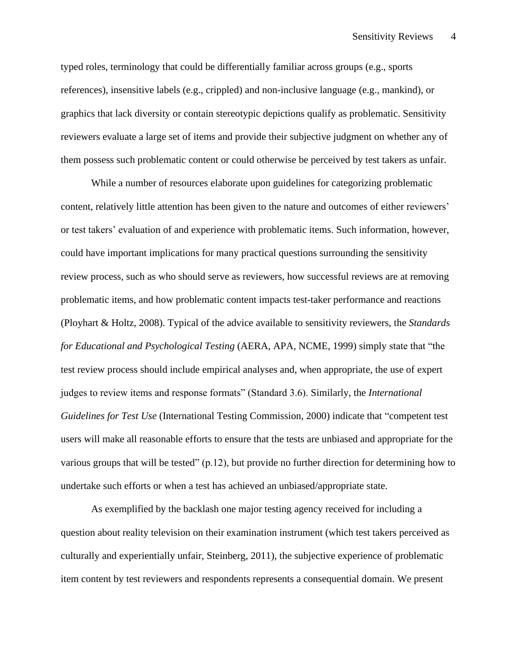typed roles, terminology that could be differentially familiar across groups (e.g., sports references), insensitive labels (e.g., crippled) and non-inclusive language (e.g., mankind), or graphics that lack diversity or contain stereotypic depictions qualify as problematic. Sensitivity reviewers evaluate a large set of items and provide their subjective judgment on whether any of them possess such problematic content or could otherwise be perceived by test takers as unfair.

While a number of resources elaborate upon guidelines for categorizing problematic content, relatively little attention has been given to the nature and outcomes of either reviewers' or test takers' evaluation of and experience with problematic items. Such information, however, could have important implications for many practical questions surrounding the sensitivity review process, such as who should serve as reviewers, how successful reviews are at removing problematic items, and how problematic content impacts test-taker performance and reactions (Ployhart & Holtz, 2008). Typical of the advice available to sensitivity reviewers, the *Standards for Educational and Psychological Testing* (AERA, APA, NCME, 1999) simply state that "the test review process should include empirical analyses and, when appropriate, the use of expert judges to review items and response formats" (Standard 3.6). Similarly, the *International Guidelines for Test Use* (International Testing Commission, 2000) indicate that "competent test users will make all reasonable efforts to ensure that the tests are unbiased and appropriate for the various groups that will be tested" (p.12), but provide no further direction for determining how to undertake such efforts or when a test has achieved an unbiased/appropriate state.

As exemplified by the backlash one major testing agency received for including a question about reality television on their examination instrument (which test takers perceived as culturally and experientially unfair, Steinberg, 2011), the subjective experience of problematic item content by test reviewers and respondents represents a consequential domain. We present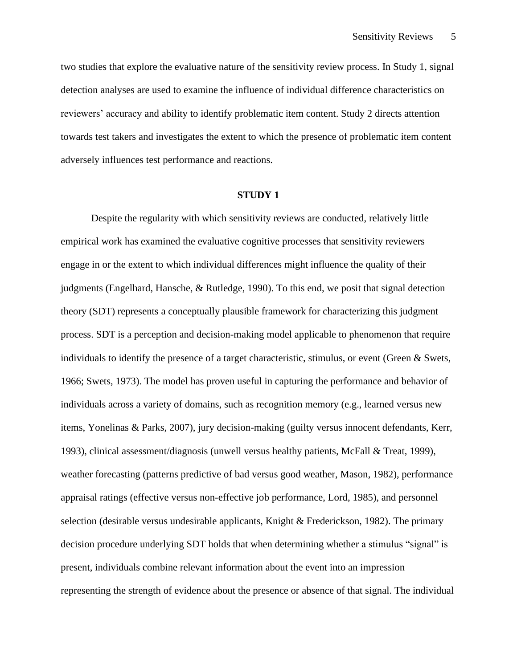two studies that explore the evaluative nature of the sensitivity review process. In Study 1, signal detection analyses are used to examine the influence of individual difference characteristics on reviewers' accuracy and ability to identify problematic item content. Study 2 directs attention towards test takers and investigates the extent to which the presence of problematic item content adversely influences test performance and reactions.

## **STUDY 1**

Despite the regularity with which sensitivity reviews are conducted, relatively little empirical work has examined the evaluative cognitive processes that sensitivity reviewers engage in or the extent to which individual differences might influence the quality of their judgments (Engelhard, Hansche, & Rutledge, 1990). To this end, we posit that signal detection theory (SDT) represents a conceptually plausible framework for characterizing this judgment process. SDT is a perception and decision-making model applicable to phenomenon that require individuals to identify the presence of a target characteristic, stimulus, or event (Green & Swets, 1966; Swets, 1973). The model has proven useful in capturing the performance and behavior of individuals across a variety of domains, such as recognition memory (e.g., learned versus new items, Yonelinas & Parks, 2007), jury decision-making (guilty versus innocent defendants, Kerr, 1993), clinical assessment/diagnosis (unwell versus healthy patients, McFall & Treat, 1999), weather forecasting (patterns predictive of bad versus good weather, Mason, 1982), performance appraisal ratings (effective versus non-effective job performance, Lord, 1985), and personnel selection (desirable versus undesirable applicants, Knight & Frederickson, 1982). The primary decision procedure underlying SDT holds that when determining whether a stimulus "signal" is present, individuals combine relevant information about the event into an impression representing the strength of evidence about the presence or absence of that signal. The individual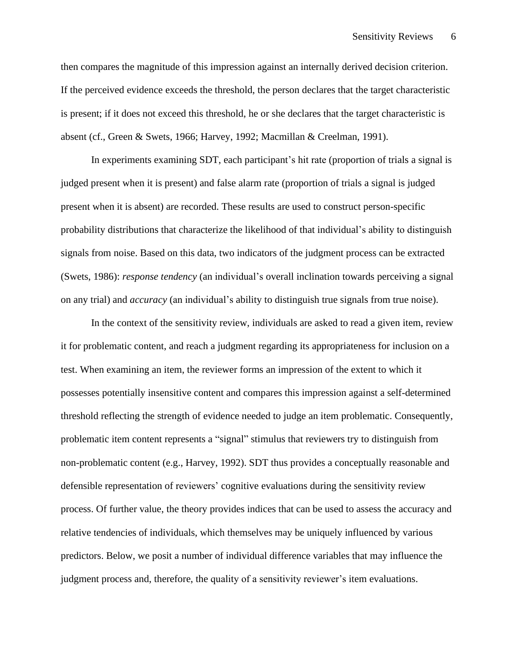then compares the magnitude of this impression against an internally derived decision criterion. If the perceived evidence exceeds the threshold, the person declares that the target characteristic is present; if it does not exceed this threshold, he or she declares that the target characteristic is absent (cf., Green & Swets, 1966; Harvey, 1992; Macmillan & Creelman, 1991).

In experiments examining SDT, each participant's hit rate (proportion of trials a signal is judged present when it is present) and false alarm rate (proportion of trials a signal is judged present when it is absent) are recorded. These results are used to construct person-specific probability distributions that characterize the likelihood of that individual's ability to distinguish signals from noise. Based on this data, two indicators of the judgment process can be extracted (Swets, 1986): *response tendency* (an individual's overall inclination towards perceiving a signal on any trial) and *accuracy* (an individual's ability to distinguish true signals from true noise).

In the context of the sensitivity review, individuals are asked to read a given item, review it for problematic content, and reach a judgment regarding its appropriateness for inclusion on a test. When examining an item, the reviewer forms an impression of the extent to which it possesses potentially insensitive content and compares this impression against a self-determined threshold reflecting the strength of evidence needed to judge an item problematic. Consequently, problematic item content represents a "signal" stimulus that reviewers try to distinguish from non-problematic content (e.g., Harvey, 1992). SDT thus provides a conceptually reasonable and defensible representation of reviewers' cognitive evaluations during the sensitivity review process. Of further value, the theory provides indices that can be used to assess the accuracy and relative tendencies of individuals, which themselves may be uniquely influenced by various predictors. Below, we posit a number of individual difference variables that may influence the judgment process and, therefore, the quality of a sensitivity reviewer's item evaluations.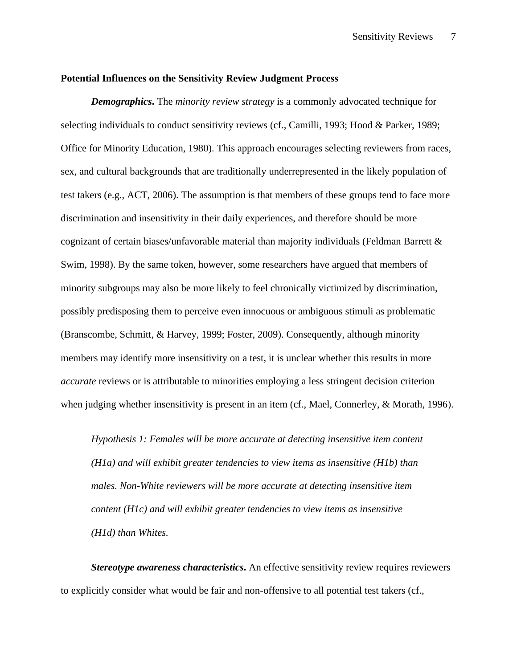#### **Potential Influences on the Sensitivity Review Judgment Process**

*Demographics***.** The *minority review strategy* is a commonly advocated technique for selecting individuals to conduct sensitivity reviews (cf., Camilli, 1993; Hood & Parker, 1989; Office for Minority Education, 1980). This approach encourages selecting reviewers from races, sex, and cultural backgrounds that are traditionally underrepresented in the likely population of test takers (e.g., ACT, 2006). The assumption is that members of these groups tend to face more discrimination and insensitivity in their daily experiences, and therefore should be more cognizant of certain biases/unfavorable material than majority individuals (Feldman Barrett & Swim, 1998). By the same token, however, some researchers have argued that members of minority subgroups may also be more likely to feel chronically victimized by discrimination, possibly predisposing them to perceive even innocuous or ambiguous stimuli as problematic (Branscombe, Schmitt, & Harvey, 1999; Foster, 2009). Consequently, although minority members may identify more insensitivity on a test, it is unclear whether this results in more *accurate* reviews or is attributable to minorities employing a less stringent decision criterion when judging whether insensitivity is present in an item (cf., Mael, Connerley, & Morath, 1996).

*Hypothesis 1: Females will be more accurate at detecting insensitive item content (H1a) and will exhibit greater tendencies to view items as insensitive (H1b) than males. Non-White reviewers will be more accurate at detecting insensitive item content (H1c) and will exhibit greater tendencies to view items as insensitive (H1d) than Whites.*

*Stereotype awareness characteristics***.** An effective sensitivity review requires reviewers to explicitly consider what would be fair and non-offensive to all potential test takers (cf.,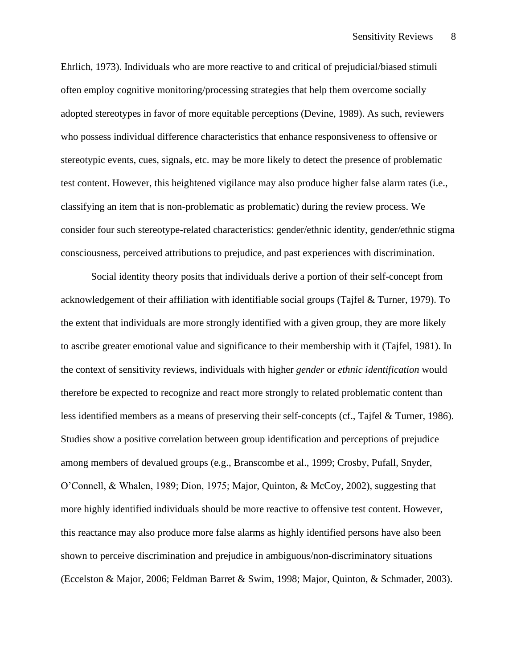Ehrlich, 1973). Individuals who are more reactive to and critical of prejudicial/biased stimuli often employ cognitive monitoring/processing strategies that help them overcome socially adopted stereotypes in favor of more equitable perceptions (Devine, 1989). As such, reviewers who possess individual difference characteristics that enhance responsiveness to offensive or stereotypic events, cues, signals, etc. may be more likely to detect the presence of problematic test content. However, this heightened vigilance may also produce higher false alarm rates (i.e., classifying an item that is non-problematic as problematic) during the review process. We consider four such stereotype-related characteristics: gender/ethnic identity, gender/ethnic stigma consciousness, perceived attributions to prejudice, and past experiences with discrimination.

Social identity theory posits that individuals derive a portion of their self-concept from acknowledgement of their affiliation with identifiable social groups (Tajfel & Turner, 1979). To the extent that individuals are more strongly identified with a given group, they are more likely to ascribe greater emotional value and significance to their membership with it (Tajfel, 1981). In the context of sensitivity reviews, individuals with higher *gender* or *ethnic identification* would therefore be expected to recognize and react more strongly to related problematic content than less identified members as a means of preserving their self-concepts (cf., Tajfel & Turner, 1986). Studies show a positive correlation between group identification and perceptions of prejudice among members of devalued groups (e.g., Branscombe et al., 1999; Crosby, Pufall, Snyder, O'Connell, & Whalen, 1989; Dion, 1975; Major, Quinton, & McCoy, 2002), suggesting that more highly identified individuals should be more reactive to offensive test content. However, this reactance may also produce more false alarms as highly identified persons have also been shown to perceive discrimination and prejudice in ambiguous/non-discriminatory situations (Eccelston & Major, 2006; Feldman Barret & Swim, 1998; Major, Quinton, & Schmader, 2003).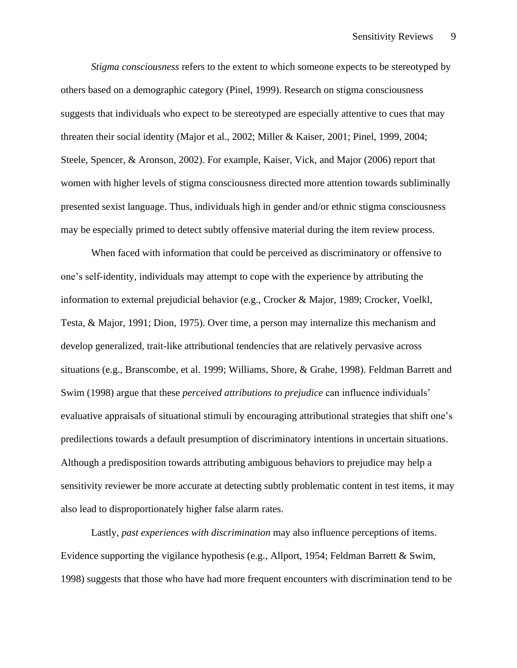*Stigma consciousness* refers to the extent to which someone expects to be stereotyped by others based on a demographic category (Pinel, 1999). Research on stigma consciousness suggests that individuals who expect to be stereotyped are especially attentive to cues that may threaten their social identity (Major et al., 2002; Miller & Kaiser, 2001; Pinel, 1999, 2004; Steele, Spencer, & Aronson, 2002). For example, Kaiser, Vick, and Major (2006) report that women with higher levels of stigma consciousness directed more attention towards subliminally presented sexist language. Thus, individuals high in gender and/or ethnic stigma consciousness may be especially primed to detect subtly offensive material during the item review process.

When faced with information that could be perceived as discriminatory or offensive to one's self-identity, individuals may attempt to cope with the experience by attributing the information to external prejudicial behavior (e.g., Crocker & Major, 1989; Crocker, Voelkl, Testa, & Major, 1991; Dion, 1975). Over time, a person may internalize this mechanism and develop generalized, trait-like attributional tendencies that are relatively pervasive across situations (e.g., Branscombe, et al. 1999; Williams, Shore, & Grahe, 1998). Feldman Barrett and Swim (1998) argue that these *perceived attributions to prejudice* can influence individuals' evaluative appraisals of situational stimuli by encouraging attributional strategies that shift one's predilections towards a default presumption of discriminatory intentions in uncertain situations. Although a predisposition towards attributing ambiguous behaviors to prejudice may help a sensitivity reviewer be more accurate at detecting subtly problematic content in test items, it may also lead to disproportionately higher false alarm rates.

Lastly, *past experiences with discrimination* may also influence perceptions of items. Evidence supporting the vigilance hypothesis (e.g., Allport, 1954; Feldman Barrett & Swim, 1998) suggests that those who have had more frequent encounters with discrimination tend to be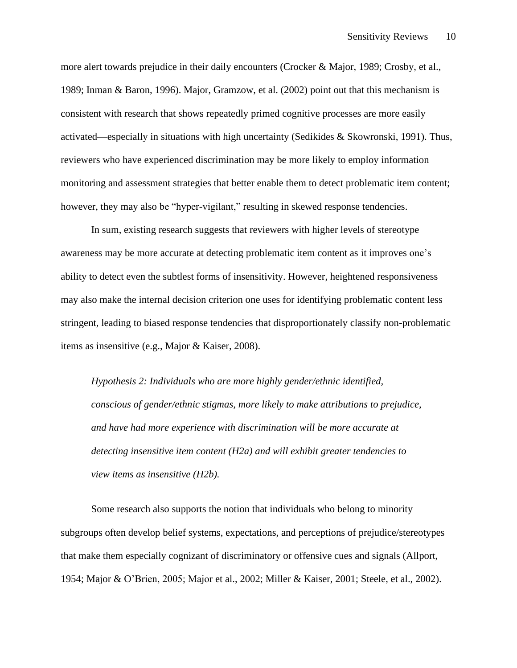more alert towards prejudice in their daily encounters (Crocker & Major, 1989; Crosby, et al., 1989; Inman & Baron, 1996). Major, Gramzow, et al. (2002) point out that this mechanism is consistent with research that shows repeatedly primed cognitive processes are more easily activated—especially in situations with high uncertainty (Sedikides & Skowronski, 1991). Thus, reviewers who have experienced discrimination may be more likely to employ information monitoring and assessment strategies that better enable them to detect problematic item content; however, they may also be "hyper-vigilant," resulting in skewed response tendencies.

In sum, existing research suggests that reviewers with higher levels of stereotype awareness may be more accurate at detecting problematic item content as it improves one's ability to detect even the subtlest forms of insensitivity. However, heightened responsiveness may also make the internal decision criterion one uses for identifying problematic content less stringent, leading to biased response tendencies that disproportionately classify non-problematic items as insensitive (e.g., Major & Kaiser, 2008).

*Hypothesis 2: Individuals who are more highly gender/ethnic identified, conscious of gender/ethnic stigmas, more likely to make attributions to prejudice, and have had more experience with discrimination will be more accurate at detecting insensitive item content (H2a) and will exhibit greater tendencies to view items as insensitive (H2b).*

Some research also supports the notion that individuals who belong to minority subgroups often develop belief systems, expectations, and perceptions of prejudice/stereotypes that make them especially cognizant of discriminatory or offensive cues and signals (Allport, 1954; Major & O'Brien, 2005; Major et al., 2002; Miller & Kaiser, 2001; Steele, et al., 2002).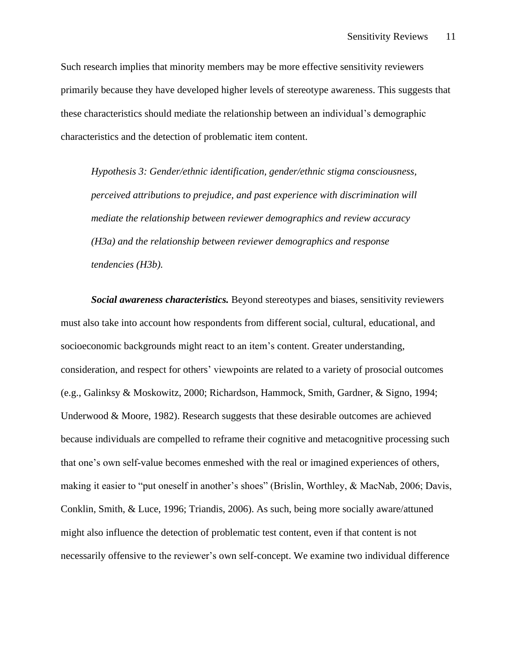Such research implies that minority members may be more effective sensitivity reviewers primarily because they have developed higher levels of stereotype awareness. This suggests that these characteristics should mediate the relationship between an individual's demographic characteristics and the detection of problematic item content.

*Hypothesis 3: Gender/ethnic identification, gender/ethnic stigma consciousness, perceived attributions to prejudice, and past experience with discrimination will mediate the relationship between reviewer demographics and review accuracy (H3a) and the relationship between reviewer demographics and response tendencies (H3b).*

*Social awareness characteristics.* Beyond stereotypes and biases, sensitivity reviewers must also take into account how respondents from different social, cultural, educational, and socioeconomic backgrounds might react to an item's content. Greater understanding, consideration, and respect for others' viewpoints are related to a variety of prosocial outcomes (e.g., Galinksy & Moskowitz, 2000; Richardson, Hammock, Smith, Gardner, & Signo, 1994; Underwood & Moore, 1982). Research suggests that these desirable outcomes are achieved because individuals are compelled to reframe their cognitive and metacognitive processing such that one's own self-value becomes enmeshed with the real or imagined experiences of others, making it easier to "put oneself in another's shoes" (Brislin, Worthley, & MacNab, 2006; Davis, Conklin, Smith, & Luce, 1996; Triandis, 2006). As such, being more socially aware/attuned might also influence the detection of problematic test content, even if that content is not necessarily offensive to the reviewer's own self-concept. We examine two individual difference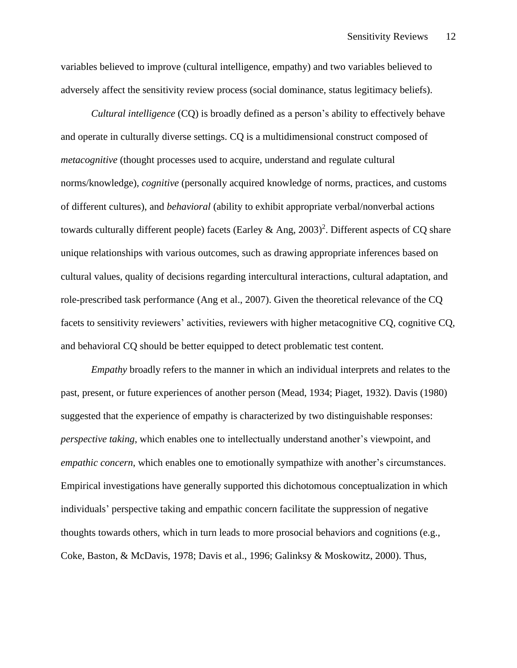variables believed to improve (cultural intelligence, empathy) and two variables believed to adversely affect the sensitivity review process (social dominance, status legitimacy beliefs).

*Cultural intelligence* (CQ) is broadly defined as a person's ability to effectively behave and operate in culturally diverse settings. CQ is a multidimensional construct composed of *metacognitive* (thought processes used to acquire, understand and regulate cultural norms/knowledge), *cognitive* (personally acquired knowledge of norms, practices, and customs of different cultures), and *behavioral* (ability to exhibit appropriate verbal/nonverbal actions towards culturally different people) facets (Earley & Ang,  $2003)^2$ . Different aspects of CQ share unique relationships with various outcomes, such as drawing appropriate inferences based on cultural values, quality of decisions regarding intercultural interactions, cultural adaptation, and role-prescribed task performance (Ang et al., 2007). Given the theoretical relevance of the CQ facets to sensitivity reviewers' activities, reviewers with higher metacognitive CQ, cognitive CQ, and behavioral CQ should be better equipped to detect problematic test content.

*Empathy* broadly refers to the manner in which an individual interprets and relates to the past, present, or future experiences of another person (Mead, 1934; Piaget, 1932). Davis (1980) suggested that the experience of empathy is characterized by two distinguishable responses: *perspective taking*, which enables one to intellectually understand another's viewpoint, and *empathic concern*, which enables one to emotionally sympathize with another's circumstances. Empirical investigations have generally supported this dichotomous conceptualization in which individuals' perspective taking and empathic concern facilitate the suppression of negative thoughts towards others, which in turn leads to more prosocial behaviors and cognitions (e.g., Coke, Baston, & McDavis, 1978; Davis et al., 1996; Galinksy & Moskowitz, 2000). Thus,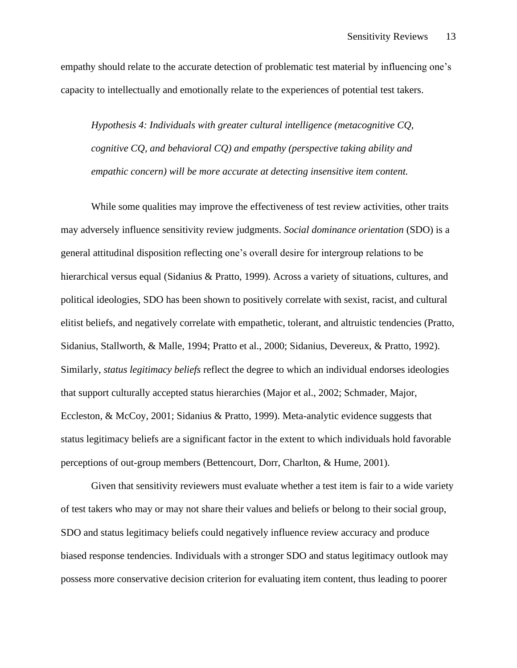empathy should relate to the accurate detection of problematic test material by influencing one's capacity to intellectually and emotionally relate to the experiences of potential test takers.

*Hypothesis 4: Individuals with greater cultural intelligence (metacognitive CQ, cognitive CQ, and behavioral CQ) and empathy (perspective taking ability and empathic concern) will be more accurate at detecting insensitive item content.*

While some qualities may improve the effectiveness of test review activities, other traits may adversely influence sensitivity review judgments. *Social dominance orientation* (SDO) is a general attitudinal disposition reflecting one's overall desire for intergroup relations to be hierarchical versus equal (Sidanius & Pratto, 1999). Across a variety of situations, cultures, and political ideologies, SDO has been shown to positively correlate with sexist, racist, and cultural elitist beliefs, and negatively correlate with empathetic, tolerant, and altruistic tendencies (Pratto, Sidanius, Stallworth, & Malle, 1994; Pratto et al., 2000; Sidanius, Devereux, & Pratto, 1992). Similarly, *status legitimacy beliefs* reflect the degree to which an individual endorses ideologies that support culturally accepted status hierarchies (Major et al., 2002; Schmader, Major, Eccleston, & McCoy, 2001; Sidanius & Pratto, 1999). Meta-analytic evidence suggests that status legitimacy beliefs are a significant factor in the extent to which individuals hold favorable perceptions of out-group members (Bettencourt, Dorr, Charlton, & Hume, 2001).

Given that sensitivity reviewers must evaluate whether a test item is fair to a wide variety of test takers who may or may not share their values and beliefs or belong to their social group, SDO and status legitimacy beliefs could negatively influence review accuracy and produce biased response tendencies. Individuals with a stronger SDO and status legitimacy outlook may possess more conservative decision criterion for evaluating item content, thus leading to poorer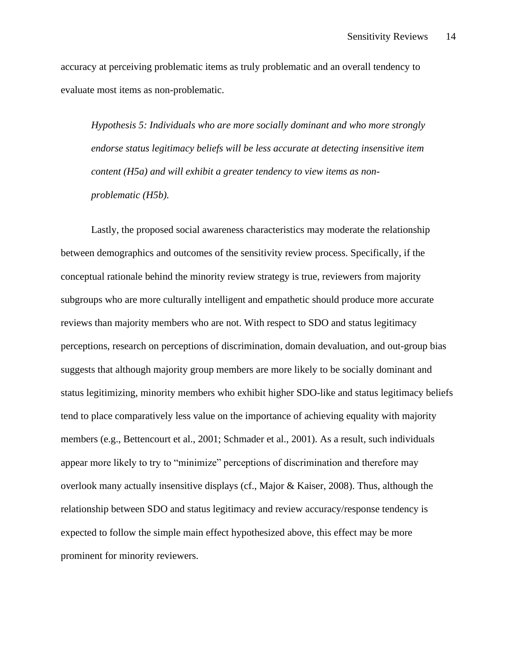accuracy at perceiving problematic items as truly problematic and an overall tendency to evaluate most items as non-problematic.

*Hypothesis 5: Individuals who are more socially dominant and who more strongly endorse status legitimacy beliefs will be less accurate at detecting insensitive item content (H5a) and will exhibit a greater tendency to view items as nonproblematic (H5b).*

Lastly, the proposed social awareness characteristics may moderate the relationship between demographics and outcomes of the sensitivity review process. Specifically, if the conceptual rationale behind the minority review strategy is true, reviewers from majority subgroups who are more culturally intelligent and empathetic should produce more accurate reviews than majority members who are not. With respect to SDO and status legitimacy perceptions, research on perceptions of discrimination, domain devaluation, and out-group bias suggests that although majority group members are more likely to be socially dominant and status legitimizing, minority members who exhibit higher SDO-like and status legitimacy beliefs tend to place comparatively less value on the importance of achieving equality with majority members (e.g., Bettencourt et al., 2001; Schmader et al., 2001). As a result, such individuals appear more likely to try to "minimize" perceptions of discrimination and therefore may overlook many actually insensitive displays (cf., Major & Kaiser, 2008). Thus, although the relationship between SDO and status legitimacy and review accuracy/response tendency is expected to follow the simple main effect hypothesized above, this effect may be more prominent for minority reviewers.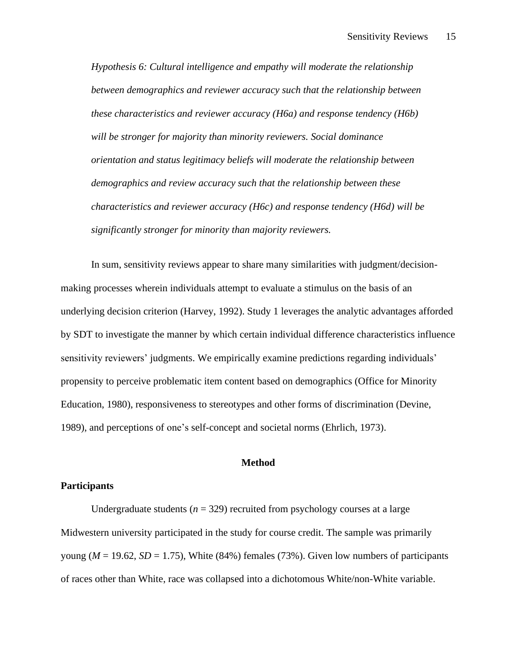*Hypothesis 6: Cultural intelligence and empathy will moderate the relationship between demographics and reviewer accuracy such that the relationship between these characteristics and reviewer accuracy (H6a) and response tendency (H6b) will be stronger for majority than minority reviewers. Social dominance orientation and status legitimacy beliefs will moderate the relationship between demographics and review accuracy such that the relationship between these characteristics and reviewer accuracy (H6c) and response tendency (H6d) will be significantly stronger for minority than majority reviewers.*

In sum, sensitivity reviews appear to share many similarities with judgment/decisionmaking processes wherein individuals attempt to evaluate a stimulus on the basis of an underlying decision criterion (Harvey, 1992). Study 1 leverages the analytic advantages afforded by SDT to investigate the manner by which certain individual difference characteristics influence sensitivity reviewers' judgments. We empirically examine predictions regarding individuals' propensity to perceive problematic item content based on demographics (Office for Minority Education, 1980), responsiveness to stereotypes and other forms of discrimination (Devine, 1989), and perceptions of one's self-concept and societal norms (Ehrlich, 1973).

#### **Method**

#### **Participants**

Undergraduate students  $(n = 329)$  recruited from psychology courses at a large Midwestern university participated in the study for course credit. The sample was primarily young ( $M = 19.62$ ,  $SD = 1.75$ ), White (84%) females (73%). Given low numbers of participants of races other than White, race was collapsed into a dichotomous White/non-White variable.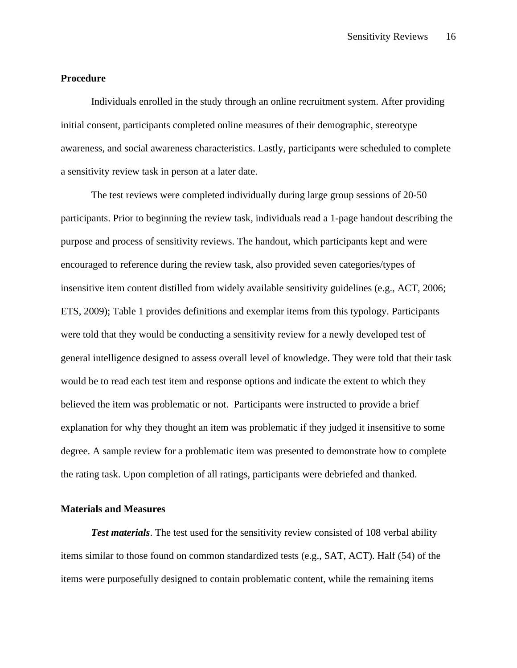#### **Procedure**

Individuals enrolled in the study through an online recruitment system. After providing initial consent, participants completed online measures of their demographic, stereotype awareness, and social awareness characteristics. Lastly, participants were scheduled to complete a sensitivity review task in person at a later date.

The test reviews were completed individually during large group sessions of 20-50 participants. Prior to beginning the review task, individuals read a 1-page handout describing the purpose and process of sensitivity reviews. The handout, which participants kept and were encouraged to reference during the review task, also provided seven categories/types of insensitive item content distilled from widely available sensitivity guidelines (e.g., ACT, 2006; ETS, 2009); Table 1 provides definitions and exemplar items from this typology. Participants were told that they would be conducting a sensitivity review for a newly developed test of general intelligence designed to assess overall level of knowledge. They were told that their task would be to read each test item and response options and indicate the extent to which they believed the item was problematic or not. Participants were instructed to provide a brief explanation for why they thought an item was problematic if they judged it insensitive to some degree. A sample review for a problematic item was presented to demonstrate how to complete the rating task. Upon completion of all ratings, participants were debriefed and thanked.

#### **Materials and Measures**

*Test materials*. The test used for the sensitivity review consisted of 108 verbal ability items similar to those found on common standardized tests (e.g., SAT, ACT). Half (54) of the items were purposefully designed to contain problematic content, while the remaining items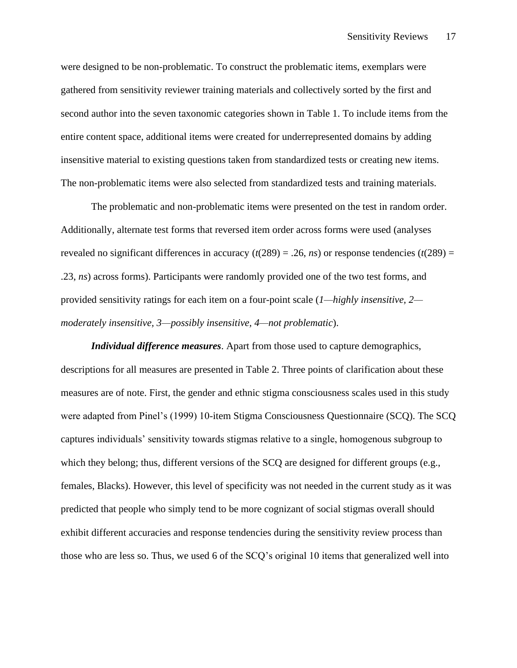were designed to be non-problematic. To construct the problematic items, exemplars were gathered from sensitivity reviewer training materials and collectively sorted by the first and second author into the seven taxonomic categories shown in Table 1. To include items from the entire content space, additional items were created for underrepresented domains by adding insensitive material to existing questions taken from standardized tests or creating new items. The non-problematic items were also selected from standardized tests and training materials.

The problematic and non-problematic items were presented on the test in random order. Additionally, alternate test forms that reversed item order across forms were used (analyses revealed no significant differences in accuracy  $(t(289) = .26, ns)$  or response tendencies  $(t(289) =$ .23, *ns*) across forms). Participants were randomly provided one of the two test forms, and provided sensitivity ratings for each item on a four-point scale (*1—highly insensitive, 2 moderately insensitive, 3—possibly insensitive, 4—not problematic*).

*Individual difference measures*. Apart from those used to capture demographics, descriptions for all measures are presented in Table 2. Three points of clarification about these measures are of note. First, the gender and ethnic stigma consciousness scales used in this study were adapted from Pinel's (1999) 10-item Stigma Consciousness Questionnaire (SCQ). The SCQ captures individuals' sensitivity towards stigmas relative to a single, homogenous subgroup to which they belong; thus, different versions of the SCQ are designed for different groups (e.g., females, Blacks). However, this level of specificity was not needed in the current study as it was predicted that people who simply tend to be more cognizant of social stigmas overall should exhibit different accuracies and response tendencies during the sensitivity review process than those who are less so. Thus, we used 6 of the SCQ's original 10 items that generalized well into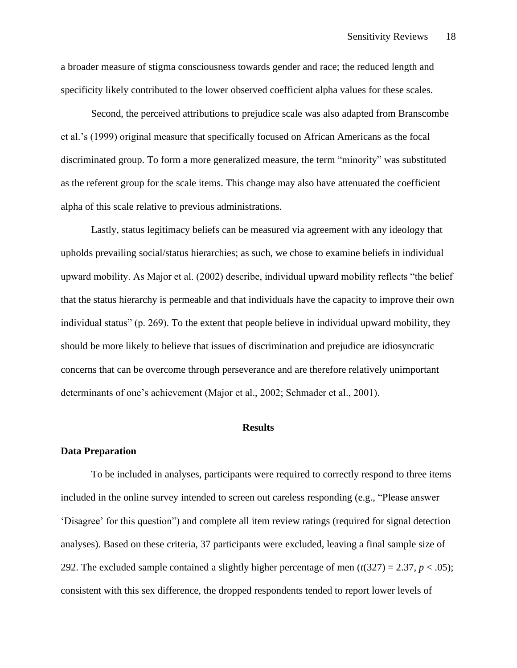a broader measure of stigma consciousness towards gender and race; the reduced length and specificity likely contributed to the lower observed coefficient alpha values for these scales.

Second, the perceived attributions to prejudice scale was also adapted from Branscombe et al.'s (1999) original measure that specifically focused on African Americans as the focal discriminated group. To form a more generalized measure, the term "minority" was substituted as the referent group for the scale items. This change may also have attenuated the coefficient alpha of this scale relative to previous administrations.

Lastly, status legitimacy beliefs can be measured via agreement with any ideology that upholds prevailing social/status hierarchies; as such, we chose to examine beliefs in individual upward mobility. As Major et al. (2002) describe, individual upward mobility reflects "the belief that the status hierarchy is permeable and that individuals have the capacity to improve their own individual status" (p. 269). To the extent that people believe in individual upward mobility, they should be more likely to believe that issues of discrimination and prejudice are idiosyncratic concerns that can be overcome through perseverance and are therefore relatively unimportant determinants of one's achievement (Major et al., 2002; Schmader et al., 2001).

#### **Results**

## **Data Preparation**

To be included in analyses, participants were required to correctly respond to three items included in the online survey intended to screen out careless responding (e.g., "Please answer 'Disagree' for this question") and complete all item review ratings (required for signal detection analyses). Based on these criteria, 37 participants were excluded, leaving a final sample size of 292. The excluded sample contained a slightly higher percentage of men  $(t(327) = 2.37, p < .05)$ ; consistent with this sex difference, the dropped respondents tended to report lower levels of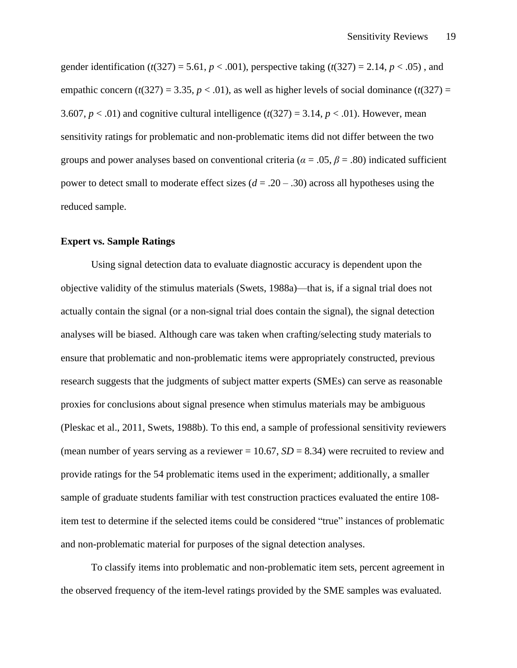gender identification ( $t(327) = 5.61$ ,  $p < .001$ ), perspective taking ( $t(327) = 2.14$ ,  $p < .05$ ), and empathic concern  $(t(327) = 3.35, p < .01)$ , as well as higher levels of social dominance  $(t(327) =$ 3.607,  $p < .01$ ) and cognitive cultural intelligence  $(t(327) = 3.14, p < .01)$ . However, mean sensitivity ratings for problematic and non-problematic items did not differ between the two groups and power analyses based on conventional criteria ( $\alpha = .05$ ,  $\beta = .80$ ) indicated sufficient power to detect small to moderate effect sizes  $(d = .20 - .30)$  across all hypotheses using the reduced sample.

## **Expert vs. Sample Ratings**

Using signal detection data to evaluate diagnostic accuracy is dependent upon the objective validity of the stimulus materials (Swets, 1988a)—that is, if a signal trial does not actually contain the signal (or a non-signal trial does contain the signal), the signal detection analyses will be biased. Although care was taken when crafting/selecting study materials to ensure that problematic and non-problematic items were appropriately constructed, previous research suggests that the judgments of subject matter experts (SMEs) can serve as reasonable proxies for conclusions about signal presence when stimulus materials may be ambiguous (Pleskac et al., 2011, Swets, 1988b). To this end, a sample of professional sensitivity reviewers (mean number of years serving as a reviewer  $= 10.67$ ,  $SD = 8.34$ ) were recruited to review and provide ratings for the 54 problematic items used in the experiment; additionally, a smaller sample of graduate students familiar with test construction practices evaluated the entire 108 item test to determine if the selected items could be considered "true" instances of problematic and non-problematic material for purposes of the signal detection analyses.

To classify items into problematic and non-problematic item sets, percent agreement in the observed frequency of the item-level ratings provided by the SME samples was evaluated.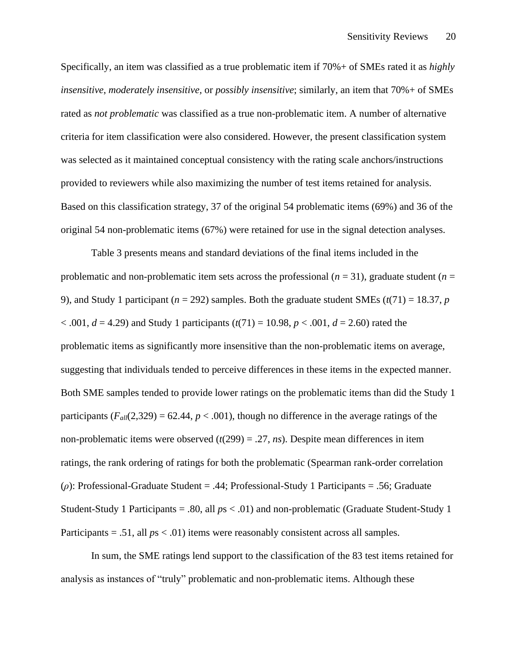Specifically, an item was classified as a true problematic item if 70%+ of SMEs rated it as *highly insensitive*, *moderately insensitive,* or *possibly insensitive*; similarly, an item that 70%+ of SMEs rated as *not problematic* was classified as a true non-problematic item. A number of alternative criteria for item classification were also considered. However, the present classification system was selected as it maintained conceptual consistency with the rating scale anchors/instructions provided to reviewers while also maximizing the number of test items retained for analysis. Based on this classification strategy, 37 of the original 54 problematic items (69%) and 36 of the original 54 non-problematic items (67%) were retained for use in the signal detection analyses.

Table 3 presents means and standard deviations of the final items included in the problematic and non-problematic item sets across the professional  $(n = 31)$ , graduate student  $(n = 11)$ 9), and Study 1 participant ( $n = 292$ ) samples. Both the graduate student SMEs ( $t(71) = 18.37$ ,  $p$ )  $< .001, d = 4.29$  and Study 1 participants ( $t(71) = 10.98, p < .001, d = 2.60$ ) rated the problematic items as significantly more insensitive than the non-problematic items on average, suggesting that individuals tended to perceive differences in these items in the expected manner. Both SME samples tended to provide lower ratings on the problematic items than did the Study 1 participants  $(F_{all}(2,329) = 62.44, p < .001)$ , though no difference in the average ratings of the non-problematic items were observed (*t*(299) = .27, *ns*). Despite mean differences in item ratings, the rank ordering of ratings for both the problematic (Spearman rank-order correlation (*ρ*): Professional-Graduate Student = .44; Professional-Study 1 Participants = .56; Graduate Student-Study 1 Participants = .80, all *p*s < .01) and non-problematic (Graduate Student-Study 1 Participants = .51, all  $ps < .01$ ) items were reasonably consistent across all samples.

In sum, the SME ratings lend support to the classification of the 83 test items retained for analysis as instances of "truly" problematic and non-problematic items. Although these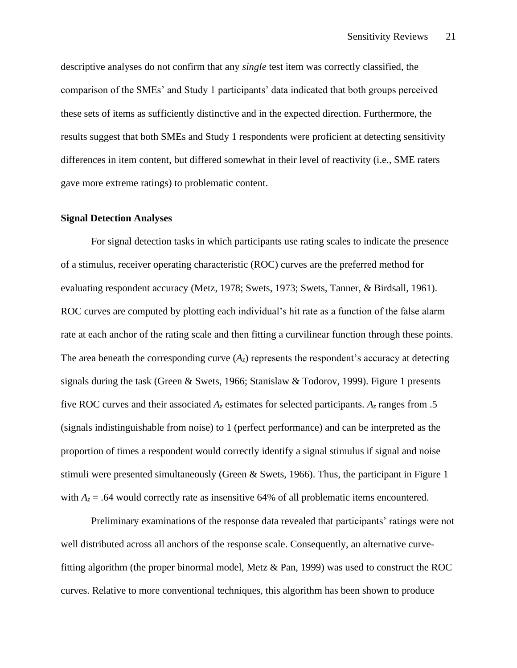descriptive analyses do not confirm that any *single* test item was correctly classified, the comparison of the SMEs' and Study 1 participants' data indicated that both groups perceived these sets of items as sufficiently distinctive and in the expected direction. Furthermore, the results suggest that both SMEs and Study 1 respondents were proficient at detecting sensitivity differences in item content, but differed somewhat in their level of reactivity (i.e., SME raters gave more extreme ratings) to problematic content.

## **Signal Detection Analyses**

For signal detection tasks in which participants use rating scales to indicate the presence of a stimulus, receiver operating characteristic (ROC) curves are the preferred method for evaluating respondent accuracy (Metz, 1978; Swets, 1973; Swets, Tanner, & Birdsall, 1961). ROC curves are computed by plotting each individual's hit rate as a function of the false alarm rate at each anchor of the rating scale and then fitting a curvilinear function through these points. The area beneath the corresponding curve  $(A<sub>z</sub>)$  represents the respondent's accuracy at detecting signals during the task (Green & Swets, 1966; Stanislaw & Todorov, 1999). Figure 1 presents five ROC curves and their associated *A<sup>z</sup>* estimates for selected participants. *A<sup>z</sup>* ranges from .5 (signals indistinguishable from noise) to 1 (perfect performance) and can be interpreted as the proportion of times a respondent would correctly identify a signal stimulus if signal and noise stimuli were presented simultaneously (Green & Swets, 1966). Thus, the participant in Figure 1 with  $A_z = .64$  would correctly rate as insensitive 64% of all problematic items encountered.

Preliminary examinations of the response data revealed that participants' ratings were not well distributed across all anchors of the response scale. Consequently, an alternative curvefitting algorithm (the proper binormal model, Metz & Pan, 1999) was used to construct the ROC curves. Relative to more conventional techniques, this algorithm has been shown to produce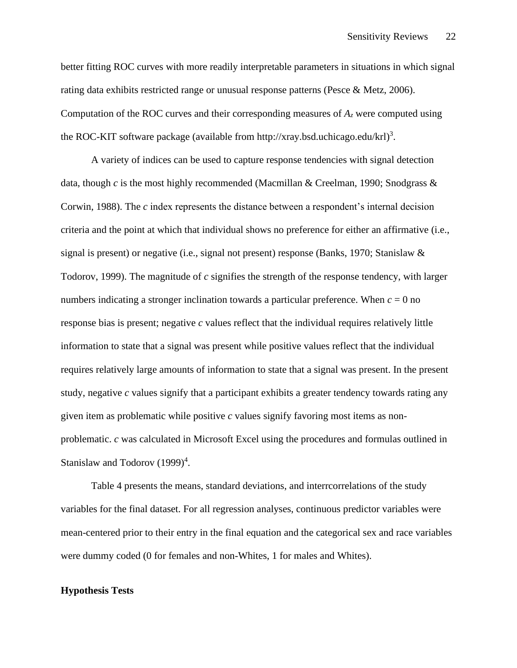better fitting ROC curves with more readily interpretable parameters in situations in which signal rating data exhibits restricted range or unusual response patterns (Pesce & Metz, 2006). Computation of the ROC curves and their corresponding measures of *A<sup>z</sup>* were computed using the ROC-KIT software package (available from http://xray.bsd.uchicago.edu/krl)<sup>3</sup>.

A variety of indices can be used to capture response tendencies with signal detection data, though *c* is the most highly recommended (Macmillan & Creelman, 1990; Snodgrass & Corwin, 1988). The *c* index represents the distance between a respondent's internal decision criteria and the point at which that individual shows no preference for either an affirmative (i.e., signal is present) or negative (i.e., signal not present) response (Banks, 1970; Stanislaw & Todorov, 1999). The magnitude of *c* signifies the strength of the response tendency, with larger numbers indicating a stronger inclination towards a particular preference. When  $c = 0$  no response bias is present; negative *c* values reflect that the individual requires relatively little information to state that a signal was present while positive values reflect that the individual requires relatively large amounts of information to state that a signal was present. In the present study, negative *c* values signify that a participant exhibits a greater tendency towards rating any given item as problematic while positive *c* values signify favoring most items as nonproblematic. *c* was calculated in Microsoft Excel using the procedures and formulas outlined in Stanislaw and Todorov (1999)<sup>4</sup>.

Table 4 presents the means, standard deviations, and interrcorrelations of the study variables for the final dataset. For all regression analyses, continuous predictor variables were mean-centered prior to their entry in the final equation and the categorical sex and race variables were dummy coded (0 for females and non-Whites, 1 for males and Whites).

#### **Hypothesis Tests**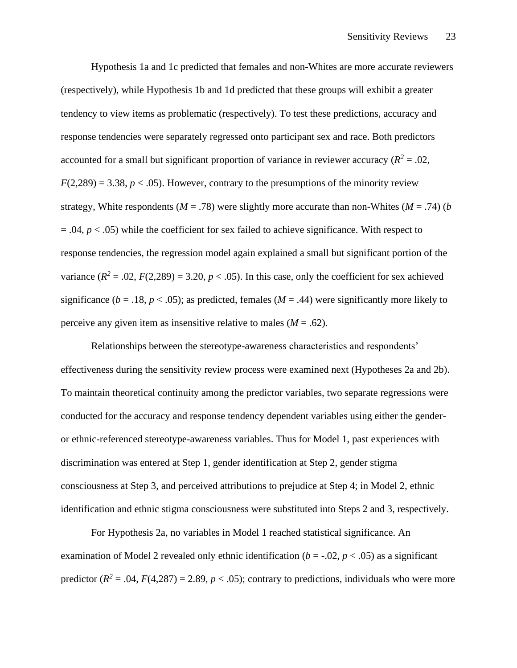Hypothesis 1a and 1c predicted that females and non-Whites are more accurate reviewers (respectively), while Hypothesis 1b and 1d predicted that these groups will exhibit a greater tendency to view items as problematic (respectively). To test these predictions, accuracy and response tendencies were separately regressed onto participant sex and race. Both predictors accounted for a small but significant proportion of variance in reviewer accuracy ( $R^2 = .02$ ,  $F(2,289) = 3.38$ ,  $p < .05$ ). However, contrary to the presumptions of the minority review strategy, White respondents ( $M = .78$ ) were slightly more accurate than non-Whites ( $M = .74$ ) (*b*  $= .04, p < .05$ ) while the coefficient for sex failed to achieve significance. With respect to response tendencies, the regression model again explained a small but significant portion of the variance  $(R^2 = .02, F(2,289) = 3.20, p < .05)$ . In this case, only the coefficient for sex achieved significance ( $b = .18$ ,  $p < .05$ ); as predicted, females ( $M = .44$ ) were significantly more likely to perceive any given item as insensitive relative to males  $(M = .62)$ .

Relationships between the stereotype-awareness characteristics and respondents' effectiveness during the sensitivity review process were examined next (Hypotheses 2a and 2b). To maintain theoretical continuity among the predictor variables, two separate regressions were conducted for the accuracy and response tendency dependent variables using either the genderor ethnic-referenced stereotype-awareness variables. Thus for Model 1, past experiences with discrimination was entered at Step 1, gender identification at Step 2, gender stigma consciousness at Step 3, and perceived attributions to prejudice at Step 4; in Model 2, ethnic identification and ethnic stigma consciousness were substituted into Steps 2 and 3, respectively.

For Hypothesis 2a, no variables in Model 1 reached statistical significance. An examination of Model 2 revealed only ethnic identification ( $b = -0.02$ ,  $p < 0.05$ ) as a significant predictor  $(R^2 = .04, F(4,287) = 2.89, p < .05)$ ; contrary to predictions, individuals who were more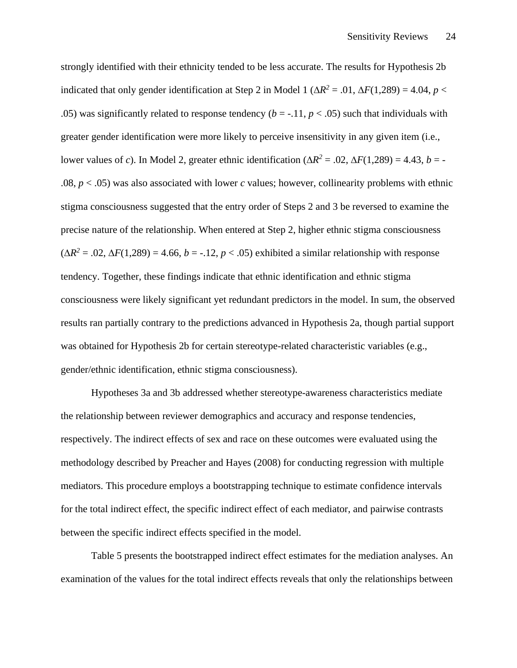strongly identified with their ethnicity tended to be less accurate. The results for Hypothesis 2b indicated that only gender identification at Step 2 in Model 1 ( $\Delta R^2 = .01$ ,  $\Delta F(1,289) = 4.04$ , *p* < .05) was significantly related to response tendency ( $b = -11$ ,  $p < .05$ ) such that individuals with greater gender identification were more likely to perceive insensitivity in any given item (i.e., lower values of *c*). In Model 2, greater ethnic identification ( $\Delta R^2 = .02$ ,  $\Delta F(1,289) = 4.43$ , *b* = -.08, *p* < .05) was also associated with lower *c* values; however, collinearity problems with ethnic stigma consciousness suggested that the entry order of Steps 2 and 3 be reversed to examine the precise nature of the relationship. When entered at Step 2, higher ethnic stigma consciousness  $(\Delta R^2 = .02, \Delta F(1,289) = 4.66, b = -.12, p < .05)$  exhibited a similar relationship with response tendency. Together, these findings indicate that ethnic identification and ethnic stigma consciousness were likely significant yet redundant predictors in the model. In sum, the observed results ran partially contrary to the predictions advanced in Hypothesis 2a, though partial support was obtained for Hypothesis 2b for certain stereotype-related characteristic variables (e.g., gender/ethnic identification, ethnic stigma consciousness).

Hypotheses 3a and 3b addressed whether stereotype-awareness characteristics mediate the relationship between reviewer demographics and accuracy and response tendencies, respectively. The indirect effects of sex and race on these outcomes were evaluated using the methodology described by Preacher and Hayes (2008) for conducting regression with multiple mediators. This procedure employs a bootstrapping technique to estimate confidence intervals for the total indirect effect, the specific indirect effect of each mediator, and pairwise contrasts between the specific indirect effects specified in the model.

Table 5 presents the bootstrapped indirect effect estimates for the mediation analyses. An examination of the values for the total indirect effects reveals that only the relationships between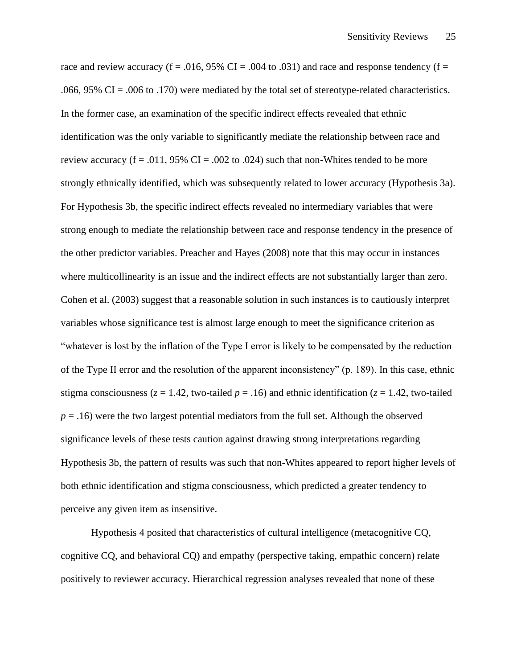race and review accuracy (f = .016, 95% CI = .004 to .031) and race and response tendency (f = .066, 95% CI = .006 to .170) were mediated by the total set of stereotype-related characteristics. In the former case, an examination of the specific indirect effects revealed that ethnic identification was the only variable to significantly mediate the relationship between race and review accuracy ( $f = .011$ , 95% CI = .002 to .024) such that non-Whites tended to be more strongly ethnically identified, which was subsequently related to lower accuracy (Hypothesis 3a). For Hypothesis 3b, the specific indirect effects revealed no intermediary variables that were strong enough to mediate the relationship between race and response tendency in the presence of the other predictor variables. Preacher and Hayes (2008) note that this may occur in instances where multicollinearity is an issue and the indirect effects are not substantially larger than zero. Cohen et al. (2003) suggest that a reasonable solution in such instances is to cautiously interpret variables whose significance test is almost large enough to meet the significance criterion as "whatever is lost by the inflation of the Type I error is likely to be compensated by the reduction of the Type II error and the resolution of the apparent inconsistency" (p. 189). In this case, ethnic stigma consciousness ( $z = 1.42$ , two-tailed  $p = .16$ ) and ethnic identification ( $z = 1.42$ , two-tailed  $p = .16$ ) were the two largest potential mediators from the full set. Although the observed significance levels of these tests caution against drawing strong interpretations regarding Hypothesis 3b, the pattern of results was such that non-Whites appeared to report higher levels of both ethnic identification and stigma consciousness, which predicted a greater tendency to perceive any given item as insensitive.

Hypothesis 4 posited that characteristics of cultural intelligence (metacognitive CQ, cognitive CQ, and behavioral CQ) and empathy (perspective taking, empathic concern) relate positively to reviewer accuracy. Hierarchical regression analyses revealed that none of these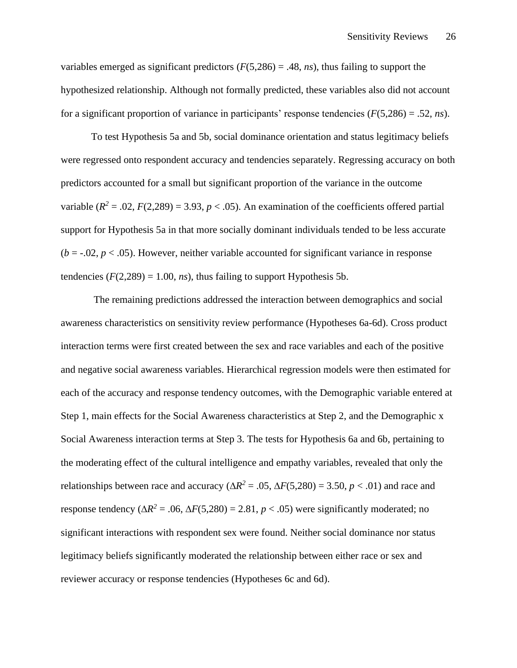variables emerged as significant predictors  $(F(5,286) = .48, ns)$ , thus failing to support the hypothesized relationship. Although not formally predicted, these variables also did not account for a significant proportion of variance in participants' response tendencies (*F*(5,286) = .52, *ns*).

To test Hypothesis 5a and 5b, social dominance orientation and status legitimacy beliefs were regressed onto respondent accuracy and tendencies separately. Regressing accuracy on both predictors accounted for a small but significant proportion of the variance in the outcome variable  $(R^2 = .02, F(2,289) = 3.93, p < .05)$ . An examination of the coefficients offered partial support for Hypothesis 5a in that more socially dominant individuals tended to be less accurate  $(b = -0.02, p < 0.05)$ . However, neither variable accounted for significant variance in response tendencies  $(F(2,289) = 1.00, ns)$ , thus failing to support Hypothesis 5b.

The remaining predictions addressed the interaction between demographics and social awareness characteristics on sensitivity review performance (Hypotheses 6a-6d). Cross product interaction terms were first created between the sex and race variables and each of the positive and negative social awareness variables. Hierarchical regression models were then estimated for each of the accuracy and response tendency outcomes, with the Demographic variable entered at Step 1, main effects for the Social Awareness characteristics at Step 2, and the Demographic x Social Awareness interaction terms at Step 3. The tests for Hypothesis 6a and 6b, pertaining to the moderating effect of the cultural intelligence and empathy variables, revealed that only the relationships between race and accuracy ( $\Delta R^2 = .05$ ,  $\Delta F(5,280) = 3.50$ ,  $p < .01$ ) and race and response tendency ( $\Delta R^2 = .06$ ,  $\Delta F(5,280) = 2.81$ ,  $p < .05$ ) were significantly moderated; no significant interactions with respondent sex were found. Neither social dominance nor status legitimacy beliefs significantly moderated the relationship between either race or sex and reviewer accuracy or response tendencies (Hypotheses 6c and 6d).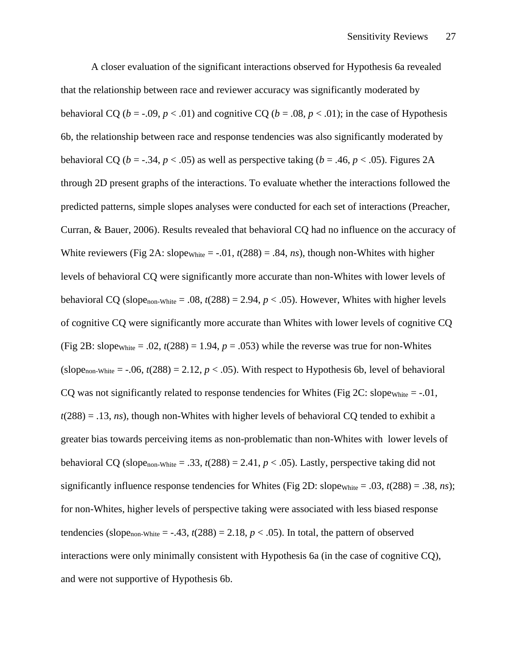A closer evaluation of the significant interactions observed for Hypothesis 6a revealed that the relationship between race and reviewer accuracy was significantly moderated by behavioral CQ ( $b = -.09$ ,  $p < .01$ ) and cognitive CQ ( $b = .08$ ,  $p < .01$ ); in the case of Hypothesis 6b, the relationship between race and response tendencies was also significantly moderated by behavioral CQ ( $b = -.34$ ,  $p < .05$ ) as well as perspective taking ( $b = .46$ ,  $p < .05$ ). Figures 2A through 2D present graphs of the interactions. To evaluate whether the interactions followed the predicted patterns, simple slopes analyses were conducted for each set of interactions (Preacher, Curran, & Bauer, 2006). Results revealed that behavioral CQ had no influence on the accuracy of White reviewers (Fig 2A: slope<sub>White</sub> = -.01,  $t(288)$  = .84, *ns*), though non-Whites with higher levels of behavioral CQ were significantly more accurate than non-Whites with lower levels of behavioral CQ (slope<sub>non-White</sub> = .08,  $t(288)$  = 2.94,  $p < .05$ ). However, Whites with higher levels of cognitive CQ were significantly more accurate than Whites with lower levels of cognitive CQ (Fig 2B: slope<sub>White</sub> = .02,  $t(288) = 1.94$ ,  $p = .053$ ) while the reverse was true for non-Whites (slope<sub>non-White</sub> =  $-0.06$ ,  $t(288) = 2.12$ ,  $p < 0.05$ ). With respect to Hypothesis 6b, level of behavioral CQ was not significantly related to response tendencies for Whites (Fig 2C: slope<sub>White</sub> =  $-0.01$ ,  $t(288) = .13$ , *ns*), though non-Whites with higher levels of behavioral CQ tended to exhibit a greater bias towards perceiving items as non-problematic than non-Whites with lower levels of behavioral CQ (slope<sub>non-White</sub>  $= .33$ ,  $t(288) = 2.41$ ,  $p < .05$ ). Lastly, perspective taking did not significantly influence response tendencies for Whites (Fig 2D: slope<sub>White</sub> = .03,  $t(288)$  = .38, *ns*); for non-Whites, higher levels of perspective taking were associated with less biased response tendencies (slope<sub>non-White</sub> = -.43,  $t(288) = 2.18$ ,  $p < .05$ ). In total, the pattern of observed interactions were only minimally consistent with Hypothesis 6a (in the case of cognitive CQ), and were not supportive of Hypothesis 6b.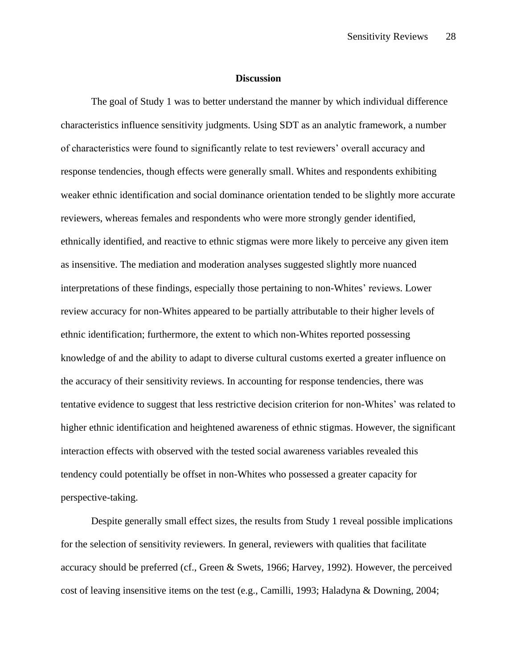#### **Discussion**

The goal of Study 1 was to better understand the manner by which individual difference characteristics influence sensitivity judgments. Using SDT as an analytic framework, a number of characteristics were found to significantly relate to test reviewers' overall accuracy and response tendencies, though effects were generally small. Whites and respondents exhibiting weaker ethnic identification and social dominance orientation tended to be slightly more accurate reviewers, whereas females and respondents who were more strongly gender identified, ethnically identified, and reactive to ethnic stigmas were more likely to perceive any given item as insensitive. The mediation and moderation analyses suggested slightly more nuanced interpretations of these findings, especially those pertaining to non-Whites' reviews. Lower review accuracy for non-Whites appeared to be partially attributable to their higher levels of ethnic identification; furthermore, the extent to which non-Whites reported possessing knowledge of and the ability to adapt to diverse cultural customs exerted a greater influence on the accuracy of their sensitivity reviews. In accounting for response tendencies, there was tentative evidence to suggest that less restrictive decision criterion for non-Whites' was related to higher ethnic identification and heightened awareness of ethnic stigmas. However, the significant interaction effects with observed with the tested social awareness variables revealed this tendency could potentially be offset in non-Whites who possessed a greater capacity for perspective-taking.

Despite generally small effect sizes, the results from Study 1 reveal possible implications for the selection of sensitivity reviewers. In general, reviewers with qualities that facilitate accuracy should be preferred (cf., Green & Swets, 1966; Harvey, 1992). However, the perceived cost of leaving insensitive items on the test (e.g., Camilli, 1993; Haladyna & Downing, 2004;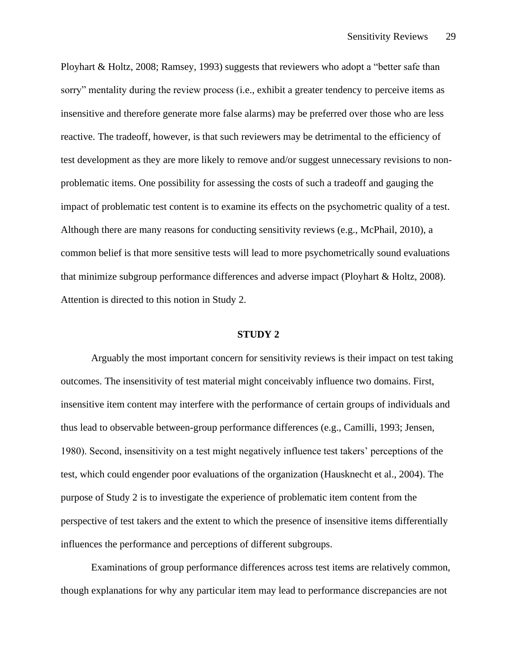Ployhart & Holtz, 2008; Ramsey, 1993) suggests that reviewers who adopt a "better safe than sorry" mentality during the review process (i.e., exhibit a greater tendency to perceive items as insensitive and therefore generate more false alarms) may be preferred over those who are less reactive. The tradeoff, however, is that such reviewers may be detrimental to the efficiency of test development as they are more likely to remove and/or suggest unnecessary revisions to nonproblematic items. One possibility for assessing the costs of such a tradeoff and gauging the impact of problematic test content is to examine its effects on the psychometric quality of a test. Although there are many reasons for conducting sensitivity reviews (e.g., McPhail, 2010), a common belief is that more sensitive tests will lead to more psychometrically sound evaluations that minimize subgroup performance differences and adverse impact (Ployhart & Holtz, 2008). Attention is directed to this notion in Study 2.

#### **STUDY 2**

Arguably the most important concern for sensitivity reviews is their impact on test taking outcomes. The insensitivity of test material might conceivably influence two domains. First, insensitive item content may interfere with the performance of certain groups of individuals and thus lead to observable between-group performance differences (e.g., Camilli, 1993; Jensen, 1980). Second, insensitivity on a test might negatively influence test takers' perceptions of the test, which could engender poor evaluations of the organization (Hausknecht et al., 2004). The purpose of Study 2 is to investigate the experience of problematic item content from the perspective of test takers and the extent to which the presence of insensitive items differentially influences the performance and perceptions of different subgroups.

Examinations of group performance differences across test items are relatively common, though explanations for why any particular item may lead to performance discrepancies are not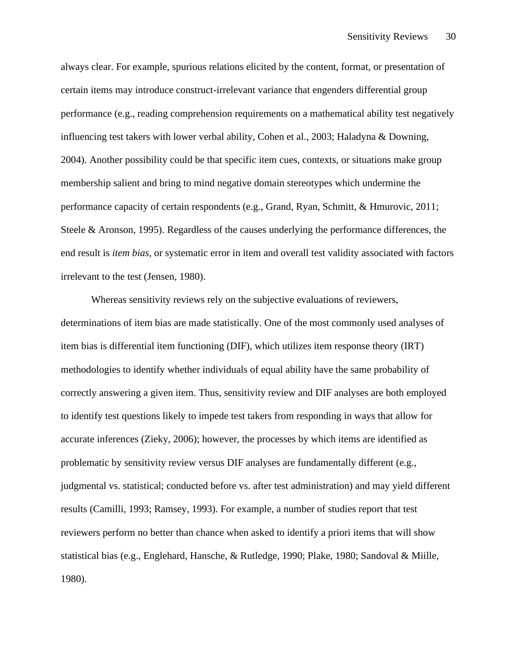always clear. For example, spurious relations elicited by the content, format, or presentation of certain items may introduce construct-irrelevant variance that engenders differential group performance (e.g., reading comprehension requirements on a mathematical ability test negatively influencing test takers with lower verbal ability, Cohen et al., 2003; Haladyna & Downing, 2004). Another possibility could be that specific item cues, contexts, or situations make group membership salient and bring to mind negative domain stereotypes which undermine the performance capacity of certain respondents (e.g., Grand, Ryan, Schmitt, & Hmurovic, 2011; Steele & Aronson, 1995). Regardless of the causes underlying the performance differences, the end result is *item bias*, or systematic error in item and overall test validity associated with factors irrelevant to the test (Jensen, 1980).

Whereas sensitivity reviews rely on the subjective evaluations of reviewers, determinations of item bias are made statistically. One of the most commonly used analyses of item bias is differential item functioning (DIF), which utilizes item response theory (IRT) methodologies to identify whether individuals of equal ability have the same probability of correctly answering a given item. Thus, sensitivity review and DIF analyses are both employed to identify test questions likely to impede test takers from responding in ways that allow for accurate inferences (Zieky, 2006); however, the processes by which items are identified as problematic by sensitivity review versus DIF analyses are fundamentally different (e.g., judgmental vs. statistical; conducted before vs. after test administration) and may yield different results (Camilli, 1993; Ramsey, 1993). For example, a number of studies report that test reviewers perform no better than chance when asked to identify a priori items that will show statistical bias (e.g., Englehard, Hansche, & Rutledge, 1990; Plake, 1980; Sandoval & Miille, 1980).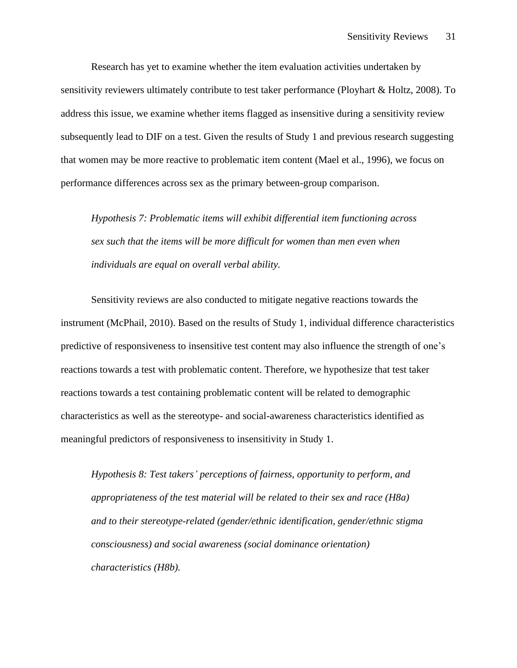Research has yet to examine whether the item evaluation activities undertaken by sensitivity reviewers ultimately contribute to test taker performance (Ployhart & Holtz, 2008). To address this issue, we examine whether items flagged as insensitive during a sensitivity review subsequently lead to DIF on a test. Given the results of Study 1 and previous research suggesting that women may be more reactive to problematic item content (Mael et al., 1996), we focus on performance differences across sex as the primary between-group comparison.

*Hypothesis 7: Problematic items will exhibit differential item functioning across sex such that the items will be more difficult for women than men even when individuals are equal on overall verbal ability.*

Sensitivity reviews are also conducted to mitigate negative reactions towards the instrument (McPhail, 2010). Based on the results of Study 1, individual difference characteristics predictive of responsiveness to insensitive test content may also influence the strength of one's reactions towards a test with problematic content. Therefore, we hypothesize that test taker reactions towards a test containing problematic content will be related to demographic characteristics as well as the stereotype- and social-awareness characteristics identified as meaningful predictors of responsiveness to insensitivity in Study 1.

*Hypothesis 8: Test takers' perceptions of fairness, opportunity to perform, and appropriateness of the test material will be related to their sex and race (H8a) and to their stereotype-related (gender/ethnic identification, gender/ethnic stigma consciousness) and social awareness (social dominance orientation) characteristics (H8b).*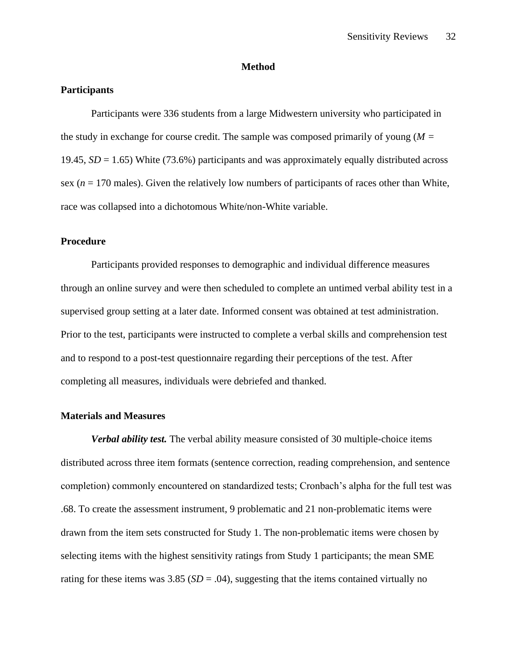#### **Method**

# **Participants**

Participants were 336 students from a large Midwestern university who participated in the study in exchange for course credit. The sample was composed primarily of young (*M =*  19.45, *SD* = 1.65) White (73.6%) participants and was approximately equally distributed across sex  $(n = 170 \text{ males})$ . Given the relatively low numbers of participants of races other than White, race was collapsed into a dichotomous White/non-White variable.

## **Procedure**

Participants provided responses to demographic and individual difference measures through an online survey and were then scheduled to complete an untimed verbal ability test in a supervised group setting at a later date. Informed consent was obtained at test administration. Prior to the test, participants were instructed to complete a verbal skills and comprehension test and to respond to a post-test questionnaire regarding their perceptions of the test. After completing all measures, individuals were debriefed and thanked.

#### **Materials and Measures**

*Verbal ability test.* The verbal ability measure consisted of 30 multiple-choice items distributed across three item formats (sentence correction, reading comprehension, and sentence completion) commonly encountered on standardized tests; Cronbach's alpha for the full test was .68. To create the assessment instrument, 9 problematic and 21 non-problematic items were drawn from the item sets constructed for Study 1. The non-problematic items were chosen by selecting items with the highest sensitivity ratings from Study 1 participants; the mean SME rating for these items was  $3.85$  (*SD* = .04), suggesting that the items contained virtually no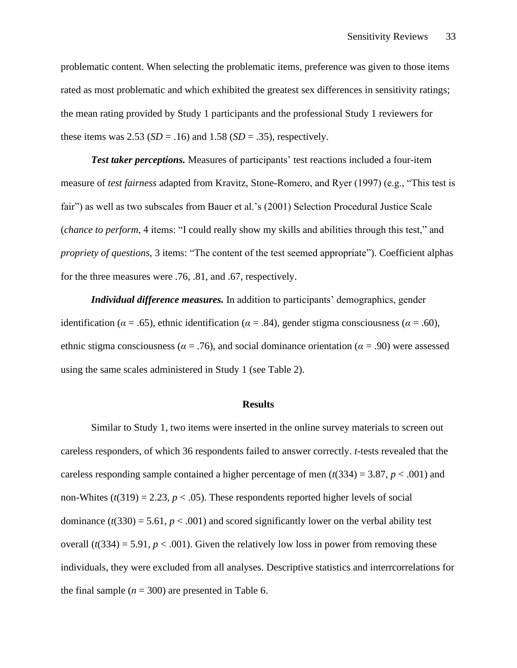problematic content. When selecting the problematic items, preference was given to those items rated as most problematic and which exhibited the greatest sex differences in sensitivity ratings; the mean rating provided by Study 1 participants and the professional Study 1 reviewers for these items was  $2.53$  (*SD* = .16) and  $1.58$  (*SD* = .35), respectively.

*Test taker perceptions.* Measures of participants' test reactions included a four-item measure of *test fairness* adapted from Kravitz, Stone-Romero, and Ryer (1997) (e.g., "This test is fair") as well as two subscales from Bauer et al.'s (2001) Selection Procedural Justice Scale (*chance to perform*, 4 items: "I could really show my skills and abilities through this test," and *propriety of questions*, 3 items: "The content of the test seemed appropriate"). Coefficient alphas for the three measures were .76, .81, and .67, respectively.

*Individual difference measures.* In addition to participants' demographics, gender identification ( $\alpha = .65$ ), ethnic identification ( $\alpha = .84$ ), gender stigma consciousness ( $\alpha = .60$ ), ethnic stigma consciousness ( $\alpha = .76$ ), and social dominance orientation ( $\alpha = .90$ ) were assessed using the same scales administered in Study 1 (see Table 2).

#### **Results**

Similar to Study 1, two items were inserted in the online survey materials to screen out careless responders, of which 36 respondents failed to answer correctly. *t*-tests revealed that the careless responding sample contained a higher percentage of men  $(t(334) = 3.87, p < .001)$  and non-Whites  $(t(319) = 2.23, p < .05)$ . These respondents reported higher levels of social dominance  $(t(330) = 5.61, p < .001)$  and scored significantly lower on the verbal ability test overall  $(t(334) = 5.91, p < .001)$ . Given the relatively low loss in power from removing these individuals, they were excluded from all analyses. Descriptive statistics and interrcorrelations for the final sample  $(n = 300)$  are presented in Table 6.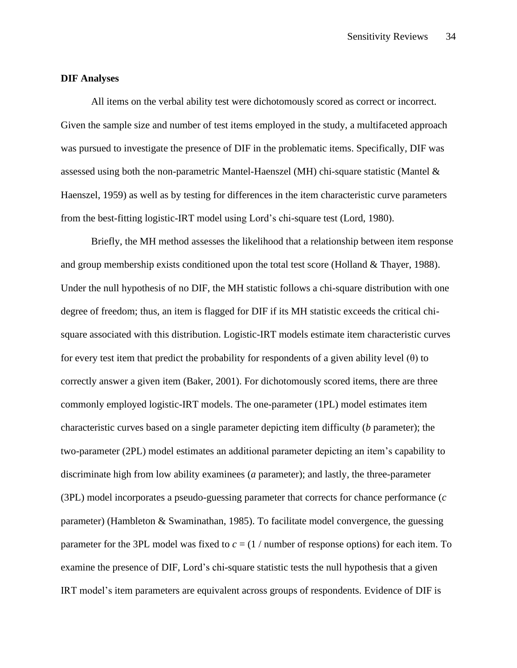#### **DIF Analyses**

All items on the verbal ability test were dichotomously scored as correct or incorrect. Given the sample size and number of test items employed in the study, a multifaceted approach was pursued to investigate the presence of DIF in the problematic items. Specifically, DIF was assessed using both the non-parametric Mantel-Haenszel (MH) chi-square statistic (Mantel & Haenszel, 1959) as well as by testing for differences in the item characteristic curve parameters from the best-fitting logistic-IRT model using Lord's chi-square test (Lord, 1980).

Briefly, the MH method assesses the likelihood that a relationship between item response and group membership exists conditioned upon the total test score (Holland & Thayer, 1988). Under the null hypothesis of no DIF, the MH statistic follows a chi-square distribution with one degree of freedom; thus, an item is flagged for DIF if its MH statistic exceeds the critical chisquare associated with this distribution. Logistic-IRT models estimate item characteristic curves for every test item that predict the probability for respondents of a given ability level  $(\theta)$  to correctly answer a given item (Baker, 2001). For dichotomously scored items, there are three commonly employed logistic-IRT models. The one-parameter (1PL) model estimates item characteristic curves based on a single parameter depicting item difficulty (*b* parameter); the two-parameter (2PL) model estimates an additional parameter depicting an item's capability to discriminate high from low ability examinees (*a* parameter); and lastly, the three-parameter (3PL) model incorporates a pseudo-guessing parameter that corrects for chance performance (*c*  parameter) (Hambleton & Swaminathan, 1985). To facilitate model convergence, the guessing parameter for the 3PL model was fixed to  $c = (1 / \text{number of response options})$  for each item. To examine the presence of DIF, Lord's chi-square statistic tests the null hypothesis that a given IRT model's item parameters are equivalent across groups of respondents. Evidence of DIF is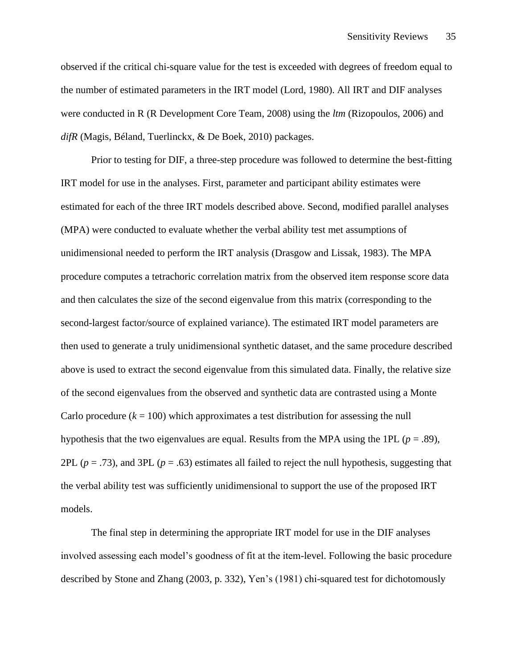observed if the critical chi-square value for the test is exceeded with degrees of freedom equal to the number of estimated parameters in the IRT model (Lord, 1980). All IRT and DIF analyses were conducted in R (R Development Core Team, 2008) using the *ltm* (Rizopoulos, 2006) and *difR* (Magis, Béland, Tuerlinckx, & De Boek, 2010) packages.

Prior to testing for DIF, a three-step procedure was followed to determine the best-fitting IRT model for use in the analyses. First, parameter and participant ability estimates were estimated for each of the three IRT models described above. Second, modified parallel analyses (MPA) were conducted to evaluate whether the verbal ability test met assumptions of unidimensional needed to perform the IRT analysis (Drasgow and Lissak, 1983). The MPA procedure computes a tetrachoric correlation matrix from the observed item response score data and then calculates the size of the second eigenvalue from this matrix (corresponding to the second-largest factor/source of explained variance). The estimated IRT model parameters are then used to generate a truly unidimensional synthetic dataset, and the same procedure described above is used to extract the second eigenvalue from this simulated data. Finally, the relative size of the second eigenvalues from the observed and synthetic data are contrasted using a Monte Carlo procedure  $(k = 100)$  which approximates a test distribution for assessing the null hypothesis that the two eigenvalues are equal. Results from the MPA using the 1PL  $(p = .89)$ , 2PL (*p* = .73), and 3PL (*p* = .63) estimates all failed to reject the null hypothesis, suggesting that the verbal ability test was sufficiently unidimensional to support the use of the proposed IRT models.

The final step in determining the appropriate IRT model for use in the DIF analyses involved assessing each model's goodness of fit at the item-level. Following the basic procedure described by Stone and Zhang (2003, p. 332), Yen's (1981) chi-squared test for dichotomously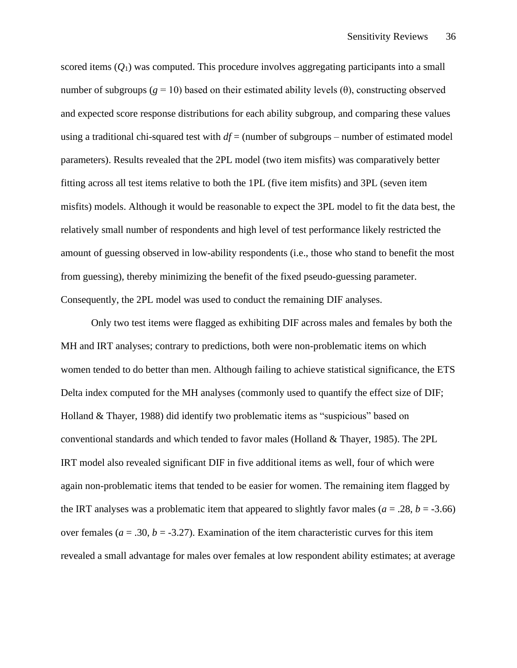scored items (*Q*1) was computed. This procedure involves aggregating participants into a small number of subgroups ( $g = 10$ ) based on their estimated ability levels ( $\theta$ ), constructing observed and expected score response distributions for each ability subgroup, and comparing these values using a traditional chi-squared test with  $df =$  (number of subgroups – number of estimated model) parameters). Results revealed that the 2PL model (two item misfits) was comparatively better fitting across all test items relative to both the 1PL (five item misfits) and 3PL (seven item misfits) models. Although it would be reasonable to expect the 3PL model to fit the data best, the relatively small number of respondents and high level of test performance likely restricted the amount of guessing observed in low-ability respondents (i.e., those who stand to benefit the most from guessing), thereby minimizing the benefit of the fixed pseudo-guessing parameter. Consequently, the 2PL model was used to conduct the remaining DIF analyses.

Only two test items were flagged as exhibiting DIF across males and females by both the MH and IRT analyses; contrary to predictions, both were non-problematic items on which women tended to do better than men. Although failing to achieve statistical significance, the ETS Delta index computed for the MH analyses (commonly used to quantify the effect size of DIF; Holland & Thayer, 1988) did identify two problematic items as "suspicious" based on conventional standards and which tended to favor males (Holland & Thayer, 1985). The 2PL IRT model also revealed significant DIF in five additional items as well, four of which were again non-problematic items that tended to be easier for women. The remaining item flagged by the IRT analyses was a problematic item that appeared to slightly favor males ( $a = .28$ ,  $b = .3.66$ ) over females ( $a = .30$ ,  $b = -3.27$ ). Examination of the item characteristic curves for this item revealed a small advantage for males over females at low respondent ability estimates; at average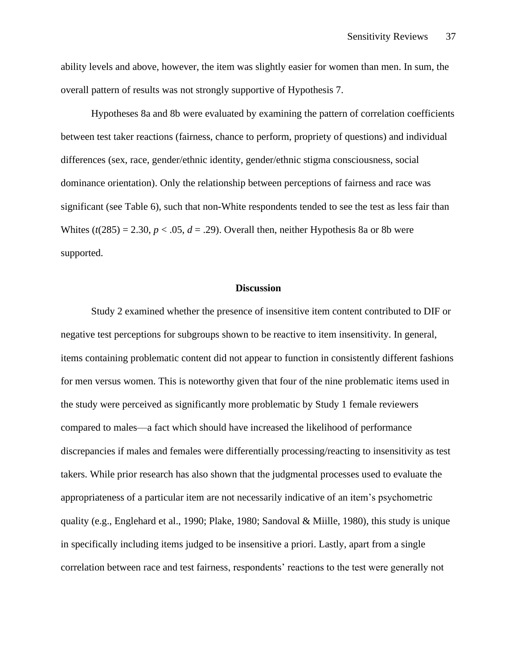ability levels and above, however, the item was slightly easier for women than men. In sum, the overall pattern of results was not strongly supportive of Hypothesis 7.

Hypotheses 8a and 8b were evaluated by examining the pattern of correlation coefficients between test taker reactions (fairness, chance to perform, propriety of questions) and individual differences (sex, race, gender/ethnic identity, gender/ethnic stigma consciousness, social dominance orientation). Only the relationship between perceptions of fairness and race was significant (see Table 6), such that non-White respondents tended to see the test as less fair than Whites  $(t(285) = 2.30, p < .05, d = .29)$ . Overall then, neither Hypothesis 8a or 8b were supported.

#### **Discussion**

Study 2 examined whether the presence of insensitive item content contributed to DIF or negative test perceptions for subgroups shown to be reactive to item insensitivity. In general, items containing problematic content did not appear to function in consistently different fashions for men versus women. This is noteworthy given that four of the nine problematic items used in the study were perceived as significantly more problematic by Study 1 female reviewers compared to males—a fact which should have increased the likelihood of performance discrepancies if males and females were differentially processing/reacting to insensitivity as test takers. While prior research has also shown that the judgmental processes used to evaluate the appropriateness of a particular item are not necessarily indicative of an item's psychometric quality (e.g., Englehard et al., 1990; Plake, 1980; Sandoval & Miille, 1980), this study is unique in specifically including items judged to be insensitive a priori. Lastly, apart from a single correlation between race and test fairness, respondents' reactions to the test were generally not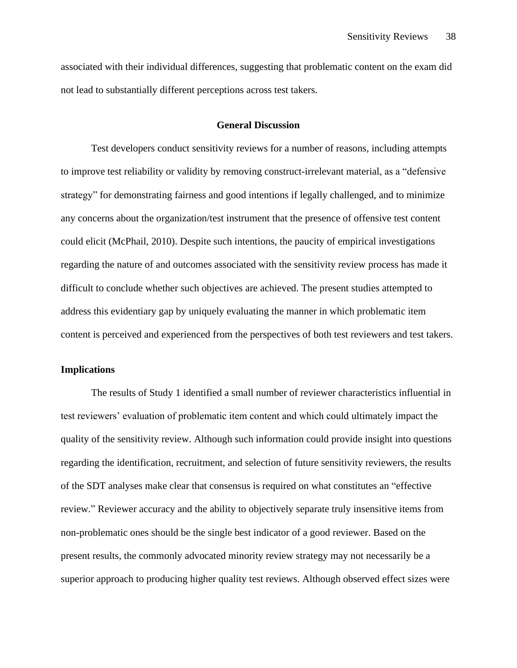associated with their individual differences, suggesting that problematic content on the exam did not lead to substantially different perceptions across test takers.

## **General Discussion**

Test developers conduct sensitivity reviews for a number of reasons, including attempts to improve test reliability or validity by removing construct-irrelevant material, as a "defensive strategy" for demonstrating fairness and good intentions if legally challenged, and to minimize any concerns about the organization/test instrument that the presence of offensive test content could elicit (McPhail, 2010). Despite such intentions, the paucity of empirical investigations regarding the nature of and outcomes associated with the sensitivity review process has made it difficult to conclude whether such objectives are achieved. The present studies attempted to address this evidentiary gap by uniquely evaluating the manner in which problematic item content is perceived and experienced from the perspectives of both test reviewers and test takers.

#### **Implications**

The results of Study 1 identified a small number of reviewer characteristics influential in test reviewers' evaluation of problematic item content and which could ultimately impact the quality of the sensitivity review. Although such information could provide insight into questions regarding the identification, recruitment, and selection of future sensitivity reviewers, the results of the SDT analyses make clear that consensus is required on what constitutes an "effective review." Reviewer accuracy and the ability to objectively separate truly insensitive items from non-problematic ones should be the single best indicator of a good reviewer. Based on the present results, the commonly advocated minority review strategy may not necessarily be a superior approach to producing higher quality test reviews. Although observed effect sizes were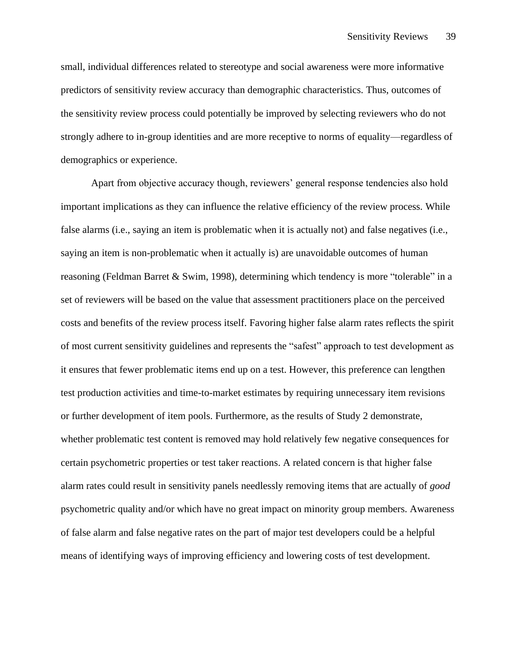small, individual differences related to stereotype and social awareness were more informative predictors of sensitivity review accuracy than demographic characteristics. Thus, outcomes of the sensitivity review process could potentially be improved by selecting reviewers who do not strongly adhere to in-group identities and are more receptive to norms of equality—regardless of demographics or experience.

Apart from objective accuracy though, reviewers' general response tendencies also hold important implications as they can influence the relative efficiency of the review process. While false alarms (i.e., saying an item is problematic when it is actually not) and false negatives (i.e., saying an item is non-problematic when it actually is) are unavoidable outcomes of human reasoning (Feldman Barret & Swim, 1998), determining which tendency is more "tolerable" in a set of reviewers will be based on the value that assessment practitioners place on the perceived costs and benefits of the review process itself. Favoring higher false alarm rates reflects the spirit of most current sensitivity guidelines and represents the "safest" approach to test development as it ensures that fewer problematic items end up on a test. However, this preference can lengthen test production activities and time-to-market estimates by requiring unnecessary item revisions or further development of item pools. Furthermore, as the results of Study 2 demonstrate, whether problematic test content is removed may hold relatively few negative consequences for certain psychometric properties or test taker reactions. A related concern is that higher false alarm rates could result in sensitivity panels needlessly removing items that are actually of *good*  psychometric quality and/or which have no great impact on minority group members. Awareness of false alarm and false negative rates on the part of major test developers could be a helpful means of identifying ways of improving efficiency and lowering costs of test development.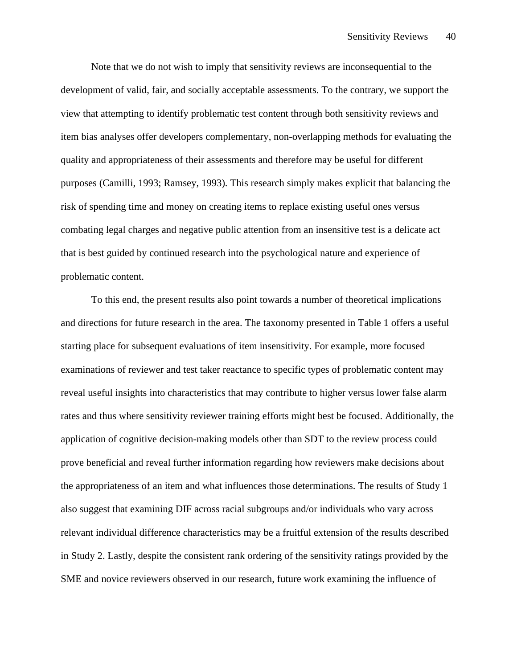Note that we do not wish to imply that sensitivity reviews are inconsequential to the development of valid, fair, and socially acceptable assessments. To the contrary, we support the view that attempting to identify problematic test content through both sensitivity reviews and item bias analyses offer developers complementary, non-overlapping methods for evaluating the quality and appropriateness of their assessments and therefore may be useful for different purposes (Camilli, 1993; Ramsey, 1993). This research simply makes explicit that balancing the risk of spending time and money on creating items to replace existing useful ones versus combating legal charges and negative public attention from an insensitive test is a delicate act that is best guided by continued research into the psychological nature and experience of problematic content.

To this end, the present results also point towards a number of theoretical implications and directions for future research in the area. The taxonomy presented in Table 1 offers a useful starting place for subsequent evaluations of item insensitivity. For example, more focused examinations of reviewer and test taker reactance to specific types of problematic content may reveal useful insights into characteristics that may contribute to higher versus lower false alarm rates and thus where sensitivity reviewer training efforts might best be focused. Additionally, the application of cognitive decision-making models other than SDT to the review process could prove beneficial and reveal further information regarding how reviewers make decisions about the appropriateness of an item and what influences those determinations. The results of Study 1 also suggest that examining DIF across racial subgroups and/or individuals who vary across relevant individual difference characteristics may be a fruitful extension of the results described in Study 2. Lastly, despite the consistent rank ordering of the sensitivity ratings provided by the SME and novice reviewers observed in our research, future work examining the influence of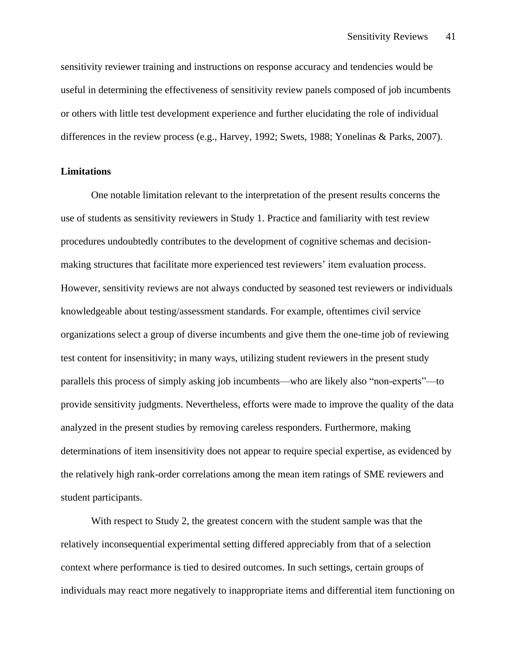sensitivity reviewer training and instructions on response accuracy and tendencies would be useful in determining the effectiveness of sensitivity review panels composed of job incumbents or others with little test development experience and further elucidating the role of individual differences in the review process (e.g., Harvey, 1992; Swets, 1988; Yonelinas & Parks, 2007).

## **Limitations**

One notable limitation relevant to the interpretation of the present results concerns the use of students as sensitivity reviewers in Study 1. Practice and familiarity with test review procedures undoubtedly contributes to the development of cognitive schemas and decisionmaking structures that facilitate more experienced test reviewers' item evaluation process. However, sensitivity reviews are not always conducted by seasoned test reviewers or individuals knowledgeable about testing/assessment standards. For example, oftentimes civil service organizations select a group of diverse incumbents and give them the one-time job of reviewing test content for insensitivity; in many ways, utilizing student reviewers in the present study parallels this process of simply asking job incumbents—who are likely also "non-experts"—to provide sensitivity judgments. Nevertheless, efforts were made to improve the quality of the data analyzed in the present studies by removing careless responders. Furthermore, making determinations of item insensitivity does not appear to require special expertise, as evidenced by the relatively high rank-order correlations among the mean item ratings of SME reviewers and student participants.

With respect to Study 2, the greatest concern with the student sample was that the relatively inconsequential experimental setting differed appreciably from that of a selection context where performance is tied to desired outcomes. In such settings, certain groups of individuals may react more negatively to inappropriate items and differential item functioning on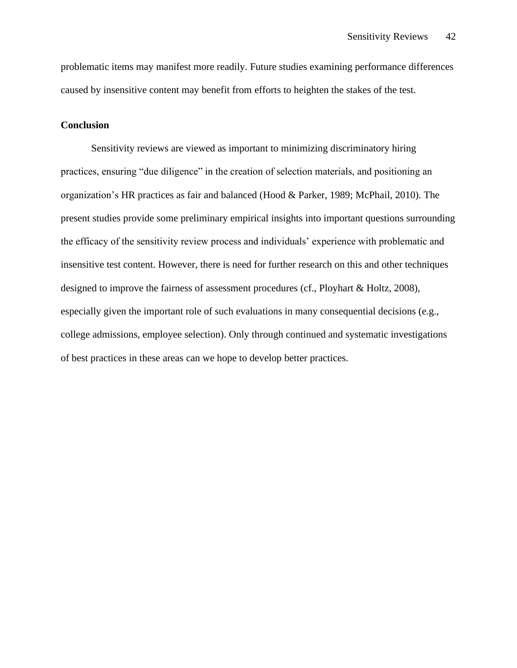problematic items may manifest more readily. Future studies examining performance differences caused by insensitive content may benefit from efforts to heighten the stakes of the test.

## **Conclusion**

Sensitivity reviews are viewed as important to minimizing discriminatory hiring practices, ensuring "due diligence" in the creation of selection materials, and positioning an organization's HR practices as fair and balanced (Hood & Parker, 1989; McPhail, 2010). The present studies provide some preliminary empirical insights into important questions surrounding the efficacy of the sensitivity review process and individuals' experience with problematic and insensitive test content. However, there is need for further research on this and other techniques designed to improve the fairness of assessment procedures (cf., Ployhart & Holtz, 2008), especially given the important role of such evaluations in many consequential decisions (e.g., college admissions, employee selection). Only through continued and systematic investigations of best practices in these areas can we hope to develop better practices.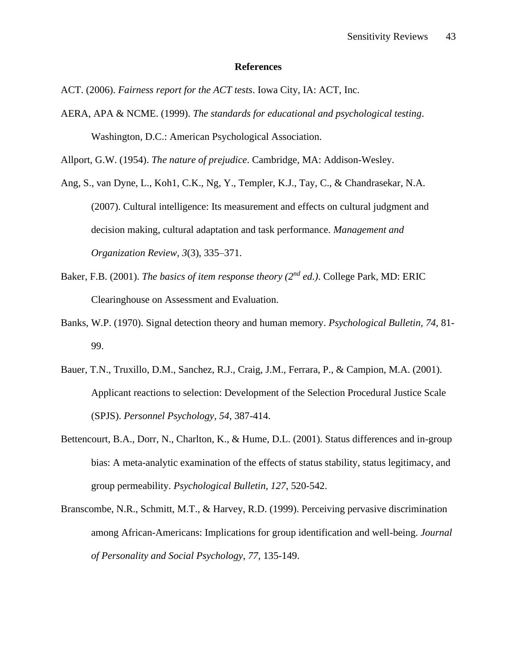#### **References**

ACT. (2006). *Fairness report for the ACT tests*. Iowa City, IA: ACT, Inc.

AERA, APA & NCME. (1999). *The standards for educational and psychological testing*. Washington, D.C.: American Psychological Association.

Allport, G.W. (1954). *The nature of prejudice*. Cambridge, MA: Addison-Wesley.

- Ang, S., van Dyne, L., Koh1, C.K., Ng, Y., Templer, K.J., Tay, C., & Chandrasekar, N.A. (2007). Cultural intelligence: Its measurement and effects on cultural judgment and decision making, cultural adaptation and task performance. *Management and Organization Review, 3*(3), 335–371.
- Baker, F.B. (2001). *The basics of item response theory (2nd ed.)*. College Park, MD: ERIC Clearinghouse on Assessment and Evaluation.
- Banks, W.P. (1970). Signal detection theory and human memory. *Psychological Bulletin, 74*, 81- 99.
- Bauer, T.N., Truxillo, D.M., Sanchez, R.J., Craig, J.M., Ferrara, P., & Campion, M.A. (2001). Applicant reactions to selection: Development of the Selection Procedural Justice Scale (SPJS). *Personnel Psychology, 54*, 387-414.
- Bettencourt, B.A., Dorr, N., Charlton, K., & Hume, D.L. (2001). Status differences and in-group bias: A meta-analytic examination of the effects of status stability, status legitimacy, and group permeability. *Psychological Bulletin, 127*, 520-542.
- Branscombe, N.R., Schmitt, M.T., & Harvey, R.D. (1999). Perceiving pervasive discrimination among African-Americans: Implications for group identification and well-being. *Journal of Personality and Social Psychology, 77*, 135-149.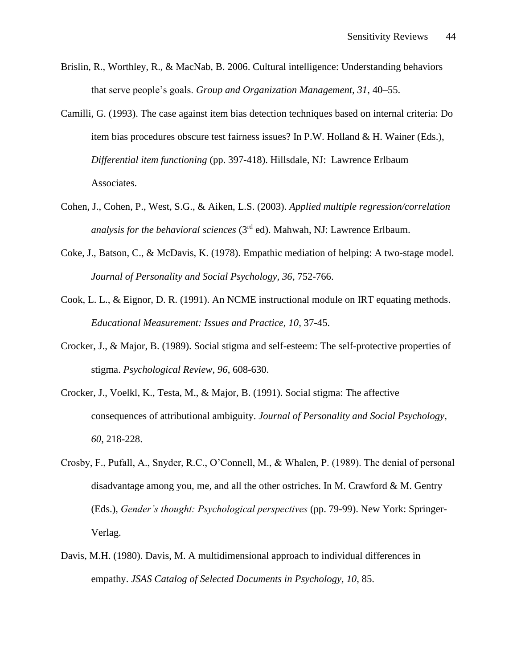- Brislin, R., Worthley, R., & MacNab, B. 2006. Cultural intelligence: Understanding behaviors that serve people's goals. *Group and Organization Management, 31*, 40–55.
- Camilli, G. (1993). The case against item bias detection techniques based on internal criteria: Do item bias procedures obscure test fairness issues? In P.W. Holland & H. Wainer (Eds.), *Differential item functioning* (pp. 397-418). Hillsdale, NJ: Lawrence Erlbaum Associates.
- Cohen, J., Cohen, P., West, S.G., & Aiken, L.S. (2003). *Applied multiple regression/correlation analysis for the behavioral sciences* (3rd ed). Mahwah, NJ: Lawrence Erlbaum.
- Coke, J., Batson, C., & McDavis, K. (1978). Empathic mediation of helping: A two-stage model. *Journal of Personality and Social Psychology, 36*, 752-766.
- Cook, L. L., & Eignor, D. R. (1991). An NCME instructional module on IRT equating methods. *Educational Measurement: Issues and Practice, 10*, 37-45.
- Crocker, J., & Major, B. (1989). Social stigma and self-esteem: The self-protective properties of stigma. *Psychological Review, 96*, 608-630.
- Crocker, J., Voelkl, K., Testa, M., & Major, B. (1991). Social stigma: The affective consequences of attributional ambiguity. *Journal of Personality and Social Psychology, 60*, 218-228.
- Crosby, F., Pufall, A., Snyder, R.C., O'Connell, M., & Whalen, P. (1989). The denial of personal disadvantage among you, me, and all the other ostriches. In M. Crawford  $\& M$ . Gentry (Eds.), *Gender's thought: Psychological perspectives* (pp. 79-99). New York: Springer-Verlag.
- Davis, M.H. (1980). Davis, M. A multidimensional approach to individual differences in empathy. *JSAS Catalog of Selected Documents in Psychology, 10*, 85.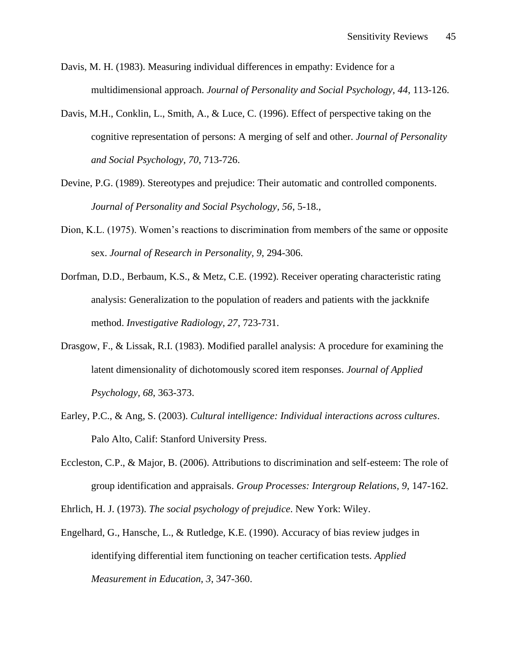- Davis, M. H. (1983). Measuring individual differences in empathy: Evidence for a multidimensional approach. *Journal of Personality and Social Psychology, 44*, 113-126.
- Davis, M.H., Conklin, L., Smith, A., & Luce, C. (1996). Effect of perspective taking on the cognitive representation of persons: A merging of self and other. *Journal of Personality and Social Psychology, 70*, 713-726.
- Devine, P.G. (1989). Stereotypes and prejudice: Their automatic and controlled components. *Journal of Personality and Social Psychology, 56*, 5-18.*,*
- Dion, K.L. (1975). Women's reactions to discrimination from members of the same or opposite sex. *Journal of Research in Personality, 9*, 294-306.
- Dorfman, D.D., Berbaum, K.S., & Metz, C.E. (1992). Receiver operating characteristic rating analysis: Generalization to the population of readers and patients with the jackknife method. *Investigative Radiology, 27*, 723-731.
- Drasgow, F., & Lissak, R.I. (1983). Modified parallel analysis: A procedure for examining the latent dimensionality of dichotomously scored item responses. *Journal of Applied Psychology, 68*, 363-373.
- Earley, P.C., & Ang, S. (2003). *Cultural intelligence: Individual interactions across cultures*. Palo Alto, Calif: Stanford University Press.
- Eccleston, C.P., & Major, B. (2006). Attributions to discrimination and self-esteem: The role of group identification and appraisals. *Group Processes: Intergroup Relations, 9*, 147-162.

Ehrlich, H. J. (1973). *The social psychology of prejudice*. New York: Wiley.

Engelhard, G., Hansche, L., & Rutledge, K.E. (1990). Accuracy of bias review judges in identifying differential item functioning on teacher certification tests. *Applied Measurement in Education, 3*, 347-360.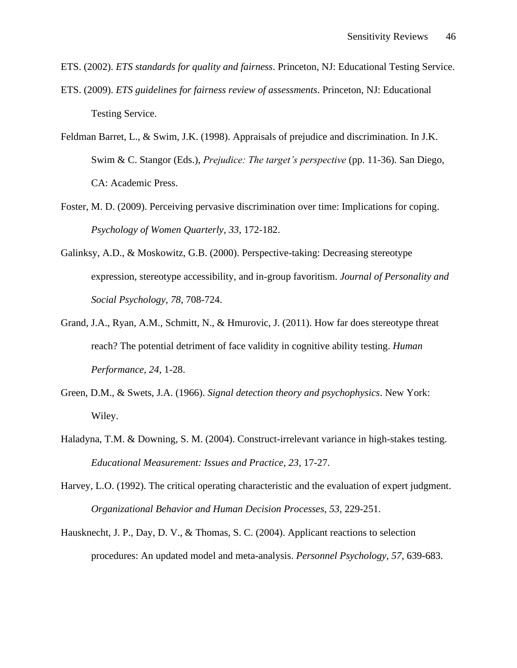ETS. (2002). *ETS standards for quality and fairness*. Princeton, NJ: Educational Testing Service.

- ETS. (2009). *ETS guidelines for fairness review of assessments*. Princeton, NJ: Educational Testing Service.
- Feldman Barret, L., & Swim, J.K. (1998). Appraisals of prejudice and discrimination. In J.K. Swim & C. Stangor (Eds.), *Prejudice: The target's perspective* (pp. 11-36). San Diego, CA: Academic Press.
- Foster, M. D. (2009). Perceiving pervasive discrimination over time: Implications for coping. *Psychology of Women Quarterly, 33*, 172-182.
- Galinksy, A.D., & Moskowitz, G.B. (2000). Perspective-taking: Decreasing stereotype expression, stereotype accessibility, and in-group favoritism. *Journal of Personality and Social Psychology, 78*, 708-724.
- Grand, J.A., Ryan, A.M., Schmitt, N., & Hmurovic, J. (2011). How far does stereotype threat reach? The potential detriment of face validity in cognitive ability testing. *Human Performance, 24*, 1-28.
- Green, D.M., & Swets, J.A. (1966). *Signal detection theory and psychophysics*. New York: Wiley.
- Haladyna, T.M. & Downing, S. M. (2004). Construct-irrelevant variance in high-stakes testing. *Educational Measurement: Issues and Practice, 23*, 17-27.
- Harvey, L.O. (1992). The critical operating characteristic and the evaluation of expert judgment. *Organizational Behavior and Human Decision Processes, 53*, 229-251.
- Hausknecht, J. P., Day, D. V., & Thomas, S. C. (2004). Applicant reactions to selection procedures: An updated model and meta-analysis. *Personnel Psychology, 57*, 639-683.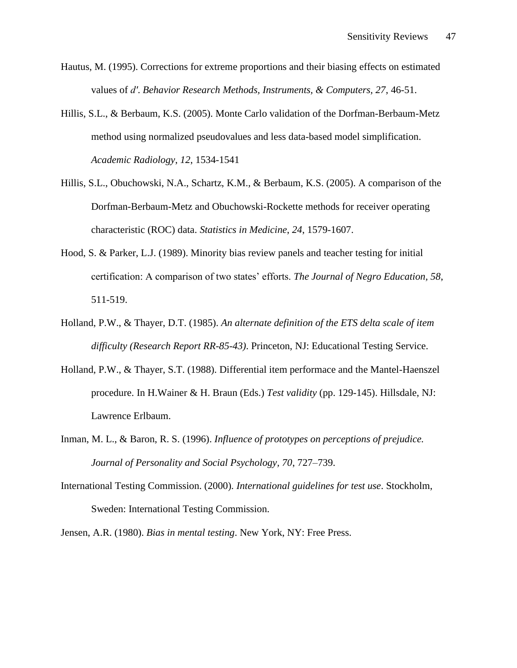- Hautus, M. (1995). Corrections for extreme proportions and their biasing effects on estimated values of *d′*. *Behavior Research Methods, Instruments, & Computers, 27*, 46-51.
- Hillis, S.L., & Berbaum, K.S. (2005). Monte Carlo validation of the Dorfman-Berbaum-Metz method using normalized pseudovalues and less data-based model simplification. *Academic Radiology*, *12*, 1534-1541
- Hillis, S.L., Obuchowski, N.A., Schartz, K.M., & Berbaum, K.S. (2005). A comparison of the Dorfman-Berbaum-Metz and Obuchowski-Rockette methods for receiver operating characteristic (ROC) data. *Statistics in Medicine*, *24*, 1579-1607.
- Hood, S. & Parker, L.J. (1989). Minority bias review panels and teacher testing for initial certification: A comparison of two states' efforts. *The Journal of Negro Education, 58*, 511-519.
- Holland, P.W., & Thayer, D.T. (1985). *An alternate definition of the ETS delta scale of item difficulty (Research Report RR-85-43)*. Princeton, NJ: Educational Testing Service.
- Holland, P.W., & Thayer, S.T. (1988). Differential item performace and the Mantel-Haenszel procedure. In H.Wainer & H. Braun (Eds.) *Test validity* (pp. 129-145). Hillsdale, NJ: Lawrence Erlbaum.
- Inman, M. L., & Baron, R. S. (1996). *Influence of prototypes on perceptions of prejudice. Journal of Personality and Social Psychology, 70*, 727–739.
- International Testing Commission. (2000). *International guidelines for test use*. Stockholm, Sweden: International Testing Commission.

Jensen, A.R. (1980). *Bias in mental testing*. New York, NY: Free Press.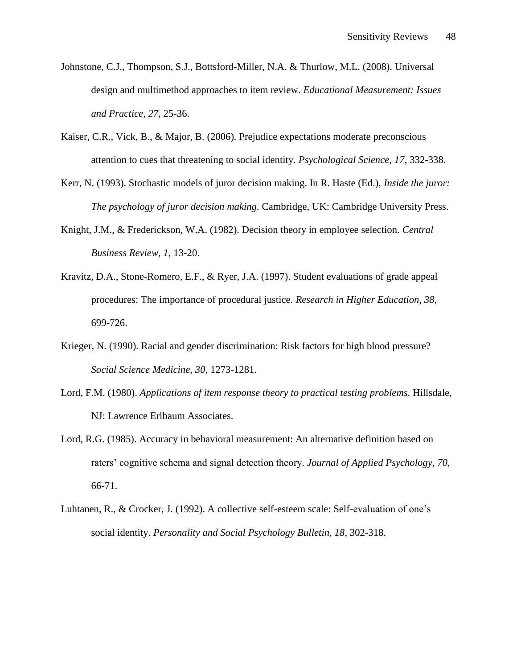- Johnstone, C.J., Thompson, S.J., Bottsford-Miller, N.A. & Thurlow, M.L. (2008). Universal design and multimethod approaches to item review. *Educational Measurement: Issues and Practice, 27*, 25-36.
- Kaiser, C.R., Vick, B., & Major, B. (2006). Prejudice expectations moderate preconscious attention to cues that threatening to social identity. *Psychological Science, 17*, 332-338.
- Kerr, N. (1993). Stochastic models of juror decision making. In R. Haste (Ed.), *Inside the juror: The psychology of juror decision making*. Cambridge, UK: Cambridge University Press.
- Knight, J.M., & Frederickson, W.A. (1982). Decision theory in employee selection. *Central Business Review, 1*, 13-20.
- Kravitz, D.A., Stone-Romero, E.F., & Ryer, J.A. (1997). Student evaluations of grade appeal procedures: The importance of procedural justice. *Research in Higher Education, 38*, 699-726.
- Krieger, N. (1990). Racial and gender discrimination: Risk factors for high blood pressure? *Social Science Medicine, 30*, 1273-1281.
- Lord, F.M. (1980). *Applications of item response theory to practical testing problems*. Hillsdale, NJ: Lawrence Erlbaum Associates.
- Lord, R.G. (1985). Accuracy in behavioral measurement: An alternative definition based on raters' cognitive schema and signal detection theory. *Journal of Applied Psychology, 70*, 66-71.
- Luhtanen, R., & Crocker, J. (1992). A collective self-esteem scale: Self-evaluation of one's social identity. *Personality and Social Psychology Bulletin, 18*, 302-318.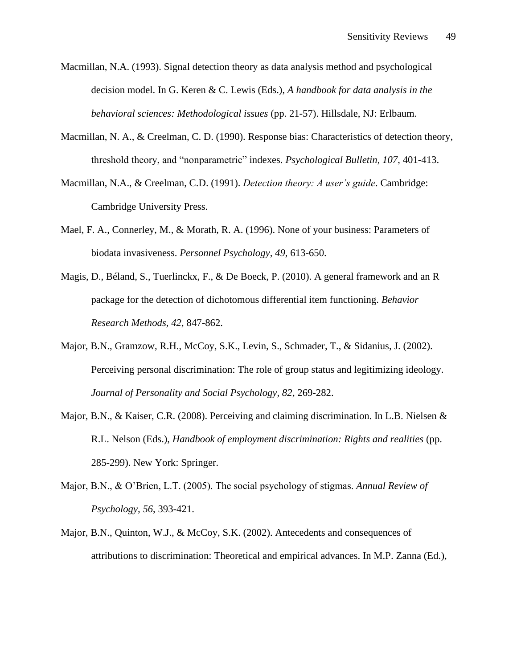- Macmillan, N.A. (1993). Signal detection theory as data analysis method and psychological decision model. In G. Keren & C. Lewis (Eds.), *A handbook for data analysis in the behavioral sciences: Methodological issues* (pp. 21-57). Hillsdale, NJ: Erlbaum.
- Macmillan, N. A., & Creelman, C. D. (1990). Response bias: Characteristics of detection theory, threshold theory, and "nonparametric" indexes. *Psychological Bulletin, 107*, 401-413.
- Macmillan, N.A., & Creelman, C.D. (1991). *Detection theory: A user's guide*. Cambridge: Cambridge University Press.
- Mael, F. A., Connerley, M., & Morath, R. A. (1996). None of your business: Parameters of biodata invasiveness. *Personnel Psychology, 49*, 613-650.
- Magis, D., Béland, S., Tuerlinckx, F., & De Boeck, P. (2010). A general framework and an R package for the detection of dichotomous differential item functioning. *Behavior Research Methods, 42*, 847-862.
- Major, B.N., Gramzow, R.H., McCoy, S.K., Levin, S., Schmader, T., & Sidanius, J. (2002). Perceiving personal discrimination: The role of group status and legitimizing ideology. *Journal of Personality and Social Psychology, 82*, 269-282.
- Major, B.N., & Kaiser, C.R. (2008). Perceiving and claiming discrimination. In L.B. Nielsen & R.L. Nelson (Eds.), *Handbook of employment discrimination: Rights and realities* (pp. 285-299). New York: Springer.
- Major, B.N., & O'Brien, L.T. (2005). The social psychology of stigmas. *Annual Review of Psychology, 56*, 393-421.
- Major, B.N., Quinton, W.J., & McCoy, S.K. (2002). Antecedents and consequences of attributions to discrimination: Theoretical and empirical advances. In M.P. Zanna (Ed.),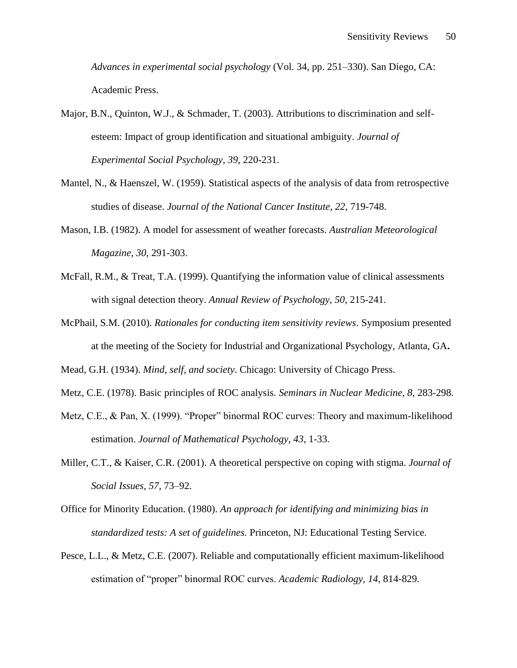*Advances in experimental social psychology* (Vol. 34, pp. 251–330). San Diego, CA: Academic Press.

Major, B.N., Quinton, W.J., & Schmader, T. (2003). Attributions to discrimination and selfesteem: Impact of group identification and situational ambiguity. *Journal of Experimental Social Psychology, 39*, 220-231.

- Mantel, N., & Haenszel, W. (1959). Statistical aspects of the analysis of data from retrospective studies of disease. *Journal of the National Cancer Institute, 22*, 719-748.
- Mason, I.B. (1982). A model for assessment of weather forecasts. *Australian Meteorological Magazine, 30*, 291-303.
- McFall, R.M., & Treat, T.A. (1999). Quantifying the information value of clinical assessments with signal detection theory. *Annual Review of Psychology, 50*, 215-241.
- McPhail, S.M. (2010). *Rationales for conducting item sensitivity reviews*. Symposium presented at the meeting of the Society for Industrial and Organizational Psychology, Atlanta, GA**.**

Mead, G.H. (1934). *Mind, self, and society*. Chicago: University of Chicago Press.

- Metz, C.E. (1978). Basic principles of ROC analysis. *Seminars in Nuclear Medicine, 8*, 283-298.
- Metz, C.E., & Pan, X. (1999). "Proper" binormal ROC curves: Theory and maximum-likelihood estimation. *Journal of Mathematical Psychology, 43*, 1-33.
- Miller, C.T., & Kaiser, C.R. (2001). A theoretical perspective on coping with stigma. *Journal of Social Issues, 57*, 73–92.
- Office for Minority Education. (1980). *An approach for identifying and minimizing bias in standardized tests: A set of guidelines.* Princeton, NJ: Educational Testing Service.
- Pesce, L.L., & Metz, C.E. (2007). Reliable and computationally efficient maximum-likelihood estimation of "proper" binormal ROC curves. *Academic Radiology, 14*, 814-829.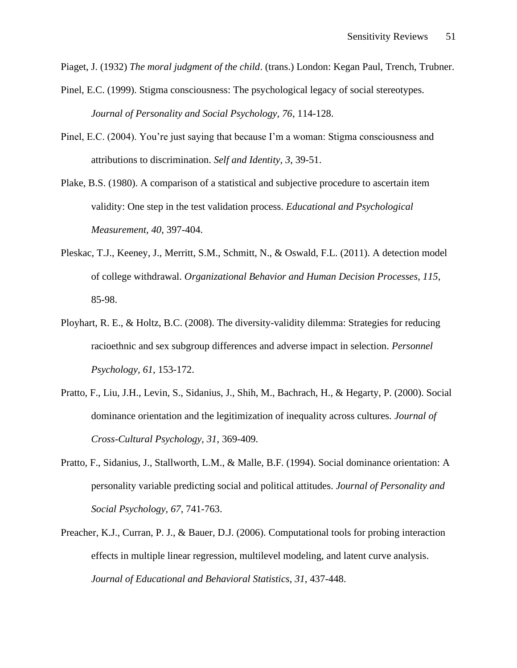Piaget, J. (1932) *The moral judgment of the child*. (trans.) London: Kegan Paul, Trench, Trubner.

- Pinel, E.C. (1999). Stigma consciousness: The psychological legacy of social stereotypes. *Journal of Personality and Social Psychology, 76*, 114-128.
- Pinel, E.C. (2004). You're just saying that because I'm a woman: Stigma consciousness and attributions to discrimination. *Self and Identity, 3*, 39-51.
- Plake, B.S. (1980). A comparison of a statistical and subjective procedure to ascertain item validity: One step in the test validation process. *Educational and Psychological Measurement, 40*, 397-404.
- Pleskac, T.J., Keeney, J., Merritt, S.M., Schmitt, N., & Oswald, F.L. (2011). A detection model of college withdrawal. *Organizational Behavior and Human Decision Processes, 115*, 85-98.
- Ployhart, R. E., & Holtz, B.C. (2008). The diversity-validity dilemma: Strategies for reducing racioethnic and sex subgroup differences and adverse impact in selection. *Personnel Psychology, 61*, 153-172.
- Pratto, F., Liu, J.H., Levin, S., Sidanius, J., Shih, M., Bachrach, H., & Hegarty, P. (2000). Social dominance orientation and the legitimization of inequality across cultures. *Journal of Cross-Cultural Psychology, 31*, 369-409.
- Pratto, F., Sidanius, J., Stallworth, L.M., & Malle, B.F. (1994). Social dominance orientation: A personality variable predicting social and political attitudes. *Journal of Personality and Social Psychology, 67*, 741-763.
- Preacher, K.J., Curran, P. J., & Bauer, D.J. (2006). Computational tools for probing interaction effects in multiple linear regression, multilevel modeling, and latent curve analysis. *Journal of Educational and Behavioral Statistics*, *31*, 437-448.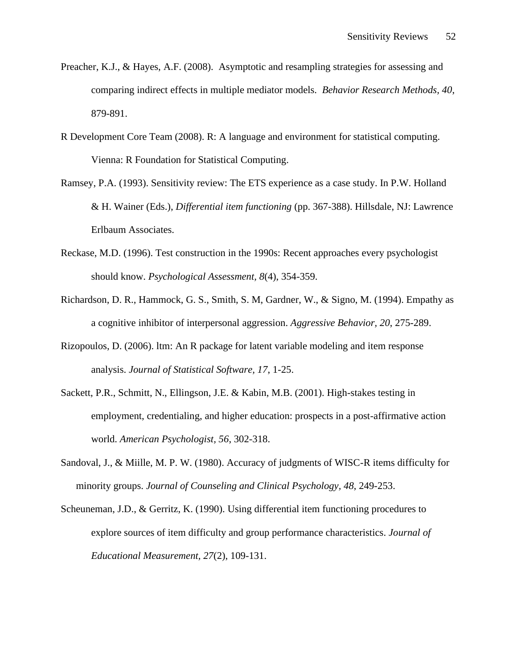- Preacher, K.J., & Hayes, A.F. (2008). Asymptotic and resampling strategies for assessing and comparing indirect effects in multiple mediator models. *Behavior Research Methods, 40*, 879-891.
- R Development Core Team (2008). R: A language and environment for statistical computing. Vienna: R Foundation for Statistical Computing.
- Ramsey, P.A. (1993). Sensitivity review: The ETS experience as a case study. In P.W. Holland & H. Wainer (Eds.), *Differential item functioning* (pp. 367-388). Hillsdale, NJ: Lawrence Erlbaum Associates.
- Reckase, M.D. (1996). Test construction in the 1990s: Recent approaches every psychologist should know. *Psychological Assessment, 8*(4), 354-359.
- Richardson, D. R., Hammock, G. S., Smith, S. M, Gardner, W., & Signo, M. (1994). Empathy as a cognitive inhibitor of interpersonal aggression. *Aggressive Behavior, 20*, 275-289.
- Rizopoulos, D. (2006). ltm: An R package for latent variable modeling and item response analysis. *Journal of Statistical Software, 17*, 1-25.
- Sackett, P.R., Schmitt, N., Ellingson, J.E. & Kabin, M.B. (2001). High-stakes testing in employment, credentialing, and higher education: prospects in a post-affirmative action world. *American Psychologist, 56*, 302-318.
- Sandoval, J., & Miille, M. P. W. (1980). Accuracy of judgments of WISC-R items difficulty for minority groups. *Journal of Counseling and Clinical Psychology, 48*, 249-253.
- Scheuneman, J.D., & Gerritz, K. (1990). Using differential item functioning procedures to explore sources of item difficulty and group performance characteristics. *Journal of Educational Measurement, 27*(2), 109-131.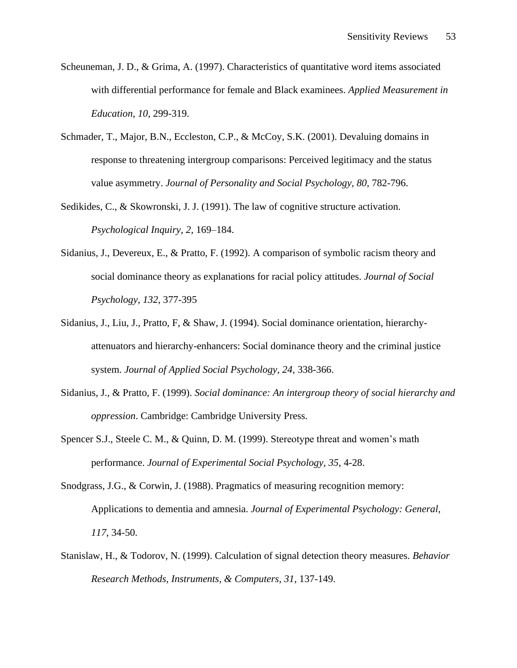- Scheuneman, J. D., & Grima, A. (1997). Characteristics of quantitative word items associated with differential performance for female and Black examinees. *Applied Measurement in Education, 10*, 299-319.
- Schmader, T., Major, B.N., Eccleston, C.P., & McCoy, S.K. (2001). Devaluing domains in response to threatening intergroup comparisons: Perceived legitimacy and the status value asymmetry. *Journal of Personality and Social Psychology, 80*, 782-796.
- Sedikides, C., & Skowronski, J. J. (1991). The law of cognitive structure activation. *Psychological Inquiry, 2*, 169–184.
- Sidanius, J., Devereux, E., & Pratto, F. (1992). A comparison of symbolic racism theory and social dominance theory as explanations for racial policy attitudes. *Journal of Social Psychology, 132*, 377-395
- Sidanius, J., Liu, J., Pratto, F, & Shaw, J. (1994). Social dominance orientation, hierarchyattenuators and hierarchy-enhancers: Social dominance theory and the criminal justice system. *Journal of Applied Social Psychology, 24*, 338-366.
- Sidanius, J., & Pratto, F. (1999). *Social dominance: An intergroup theory of social hierarchy and oppression*. Cambridge: Cambridge University Press.
- Spencer S.J., Steele C. M., & Quinn, D. M. (1999). Stereotype threat and women's math performance. *Journal of Experimental Social Psychology, 35*, 4-28.
- Snodgrass, J.G., & Corwin, J. (1988). Pragmatics of measuring recognition memory: Applications to dementia and amnesia. *Journal of Experimental Psychology: General, 117*, 34-50.
- Stanislaw, H., & Todorov, N. (1999). Calculation of signal detection theory measures. *Behavior Research Methods, Instruments, & Computers, 31*, 137-149.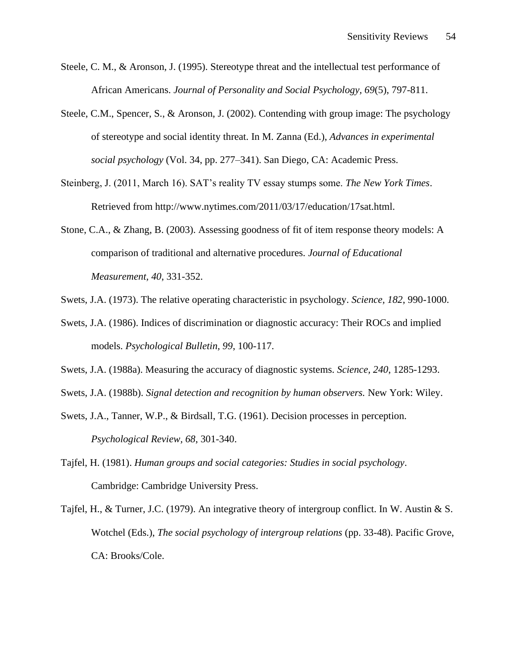- Steele, C. M., & Aronson, J. (1995). Stereotype threat and the intellectual test performance of African Americans. *Journal of Personality and Social Psychology, 69*(5), 797-811.
- Steele, C.M., Spencer, S., & Aronson, J. (2002). Contending with group image: The psychology of stereotype and social identity threat. In M. Zanna (Ed.), *Advances in experimental social psychology* (Vol. 34, pp. 277–341). San Diego, CA: Academic Press.
- Steinberg, J. (2011, March 16). SAT's reality TV essay stumps some. *The New York Times*. Retrieved from http://www.nytimes.com/2011/03/17/education/17sat.html.
- Stone, C.A., & Zhang, B. (2003). Assessing goodness of fit of item response theory models: A comparison of traditional and alternative procedures. *Journal of Educational Measurement, 40*, 331-352.
- Swets, J.A. (1973). The relative operating characteristic in psychology. *Science, 182*, 990-1000.
- Swets, J.A. (1986). Indices of discrimination or diagnostic accuracy: Their ROCs and implied models. *Psychological Bulletin, 99*, 100-117.
- Swets, J.A. (1988a). Measuring the accuracy of diagnostic systems. *Science, 240*, 1285-1293.
- Swets, J.A. (1988b). *Signal detection and recognition by human observers.* New York: Wiley.
- Swets, J.A., Tanner, W.P., & Birdsall, T.G. (1961). Decision processes in perception. *Psychological Review, 68*, 301-340.
- Tajfel, H. (1981). *Human groups and social categories: Studies in social psychology*. Cambridge: Cambridge University Press.
- Tajfel, H., & Turner, J.C. (1979). An integrative theory of intergroup conflict. In W. Austin & S. Wotchel (Eds.), *The social psychology of intergroup relations* (pp. 33-48). Pacific Grove, CA: Brooks/Cole.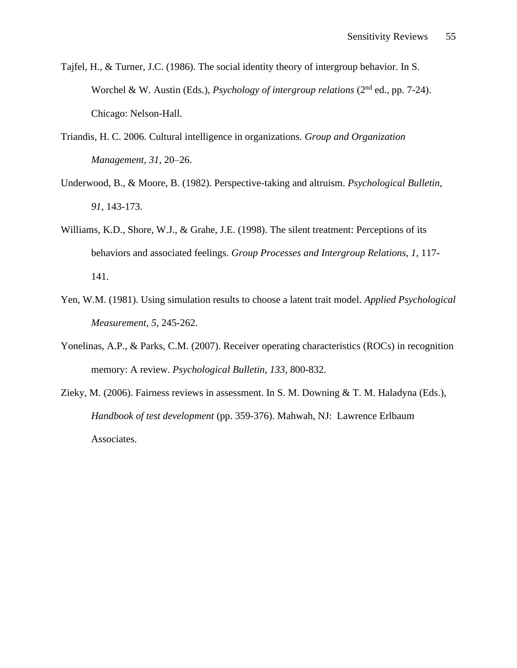- Tajfel, H., & Turner, J.C. (1986). The social identity theory of intergroup behavior. In S. Worchel & W. Austin (Eds.), *Psychology of intergroup relations* (2nd ed., pp. 7-24). Chicago: Nelson-Hall.
- Triandis, H. C. 2006. Cultural intelligence in organizations. *Group and Organization Management, 31*, 20–26.
- Underwood, B., & Moore, B. (1982). Perspective-taking and altruism. *Psychological Bulletin, 91*, 143-173.
- Williams, K.D., Shore, W.J., & Grahe, J.E. (1998). The silent treatment: Perceptions of its behaviors and associated feelings. *Group Processes and Intergroup Relations, 1*, 117- 141.
- Yen, W.M. (1981). Using simulation results to choose a latent trait model. *Applied Psychological Measurement, 5*, 245-262.
- Yonelinas, A.P., & Parks, C.M. (2007). Receiver operating characteristics (ROCs) in recognition memory: A review. *Psychological Bulletin, 133*, 800-832.
- Zieky, M. (2006). Fairness reviews in assessment. In S. M. Downing & T. M. Haladyna (Eds.), *Handbook of test development* (pp. 359-376). Mahwah, NJ: Lawrence Erlbaum Associates.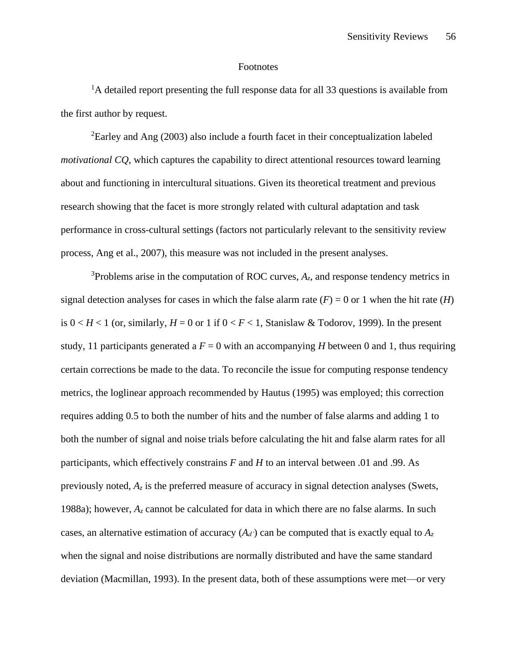#### Footnotes

<sup>1</sup>A detailed report presenting the full response data for all 33 questions is available from the first author by request.

<sup>2</sup>Earley and Ang (2003) also include a fourth facet in their conceptualization labeled *motivational CQ*, which captures the capability to direct attentional resources toward learning about and functioning in intercultural situations. Given its theoretical treatment and previous research showing that the facet is more strongly related with cultural adaptation and task performance in cross-cultural settings (factors not particularly relevant to the sensitivity review process, Ang et al., 2007), this measure was not included in the present analyses.

<sup>3</sup>Problems arise in the computation of ROC curves,  $A_z$ , and response tendency metrics in signal detection analyses for cases in which the false alarm rate  $(F) = 0$  or 1 when the hit rate  $(H)$ is  $0 < H < 1$  (or, similarly,  $H = 0$  or 1 if  $0 < F < 1$ , Stanislaw & Todorov, 1999). In the present study, 11 participants generated a  $F = 0$  with an accompanying *H* between 0 and 1, thus requiring certain corrections be made to the data. To reconcile the issue for computing response tendency metrics, the loglinear approach recommended by Hautus (1995) was employed; this correction requires adding 0.5 to both the number of hits and the number of false alarms and adding 1 to both the number of signal and noise trials before calculating the hit and false alarm rates for all participants, which effectively constrains *F* and *H* to an interval between .01 and .99. As previously noted,  $A_z$  is the preferred measure of accuracy in signal detection analyses (Swets, 1988a); however, *A<sup>z</sup>* cannot be calculated for data in which there are no false alarms. In such cases, an alternative estimation of accuracy  $(A_d)$  can be computed that is exactly equal to  $A_z$ when the signal and noise distributions are normally distributed and have the same standard deviation (Macmillan, 1993). In the present data, both of these assumptions were met—or very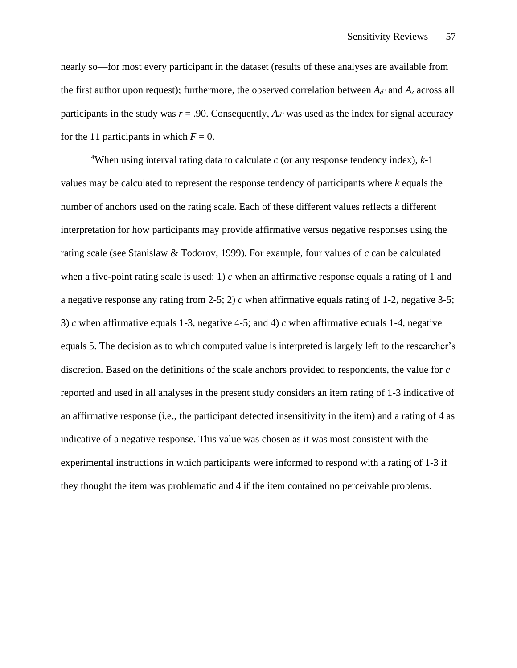nearly so—for most every participant in the dataset (results of these analyses are available from the first author upon request); furthermore, the observed correlation between  $A_d$ <sup>*n*</sup> and  $A_z$  across all participants in the study was  $r = .90$ . Consequently,  $A_d$  was used as the index for signal accuracy for the 11 participants in which  $F = 0$ .

<sup>4</sup>When using interval rating data to calculate *c* (or any response tendency index), *k*-1 values may be calculated to represent the response tendency of participants where *k* equals the number of anchors used on the rating scale. Each of these different values reflects a different interpretation for how participants may provide affirmative versus negative responses using the rating scale (see Stanislaw & Todorov, 1999). For example, four values of *c* can be calculated when a five-point rating scale is used: 1) *c* when an affirmative response equals a rating of 1 and a negative response any rating from 2-5; 2)  $c$  when affirmative equals rating of 1-2, negative 3-5; 3) *c* when affirmative equals 1-3, negative 4-5; and 4) *c* when affirmative equals 1-4, negative equals 5. The decision as to which computed value is interpreted is largely left to the researcher's discretion. Based on the definitions of the scale anchors provided to respondents, the value for *c*  reported and used in all analyses in the present study considers an item rating of 1-3 indicative of an affirmative response (i.e., the participant detected insensitivity in the item) and a rating of 4 as indicative of a negative response. This value was chosen as it was most consistent with the experimental instructions in which participants were informed to respond with a rating of 1-3 if they thought the item was problematic and 4 if the item contained no perceivable problems.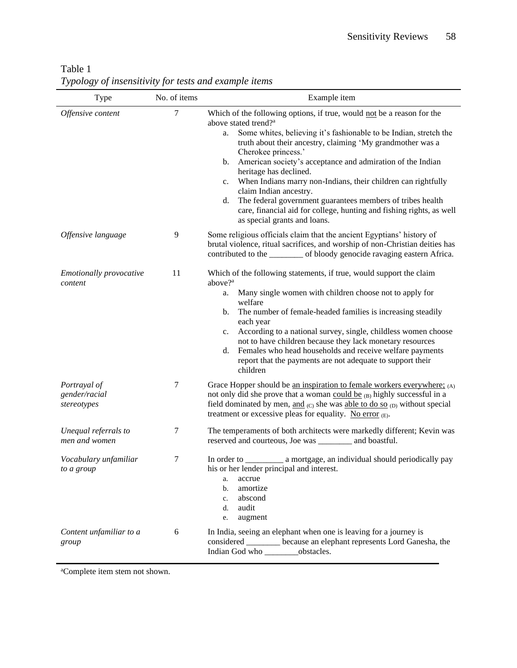| Type                                         | No. of items | Example item                                                                                                                                                                                                                                                                                                                                                                                                                                                                                                                                                                                                                                          |
|----------------------------------------------|--------------|-------------------------------------------------------------------------------------------------------------------------------------------------------------------------------------------------------------------------------------------------------------------------------------------------------------------------------------------------------------------------------------------------------------------------------------------------------------------------------------------------------------------------------------------------------------------------------------------------------------------------------------------------------|
| Offensive content                            | $\tau$       | Which of the following options, if true, would not be a reason for the<br>above stated trend? <sup>a</sup><br>Some whites, believing it's fashionable to be Indian, stretch the<br>a.<br>truth about their ancestry, claiming 'My grandmother was a<br>Cherokee princess.'<br>American society's acceptance and admiration of the Indian<br>b.<br>heritage has declined.<br>When Indians marry non-Indians, their children can rightfully<br>c.<br>claim Indian ancestry.<br>The federal government guarantees members of tribes health<br>d.<br>care, financial aid for college, hunting and fishing rights, as well<br>as special grants and loans. |
| Offensive language                           | 9            | Some religious officials claim that the ancient Egyptians' history of<br>brutal violence, ritual sacrifices, and worship of non-Christian deities has<br>contributed to the _______ of bloody genocide ravaging eastern Africa.                                                                                                                                                                                                                                                                                                                                                                                                                       |
| Emotionally provocative<br>content           | 11           | Which of the following statements, if true, would support the claim<br>above? <sup>a</sup><br>Many single women with children choose not to apply for<br>a.<br>welfare<br>The number of female-headed families is increasing steadily<br>b.<br>each year<br>According to a national survey, single, childless women choose<br>c.<br>not to have children because they lack monetary resources<br>Females who head households and receive welfare payments<br>d.<br>report that the payments are not adequate to support their<br>children                                                                                                             |
| Portrayal of<br>gender/racial<br>stereotypes | 7            | Grace Hopper should be an inspiration to female workers everywhere; (A)<br>not only did she prove that a woman could be (B) highly successful in a<br>field dominated by men, and $(C)$ she was able to do so $(D)$ without special<br>treatment or excessive pleas for equality. No error $(E)$ .                                                                                                                                                                                                                                                                                                                                                    |
| Unequal referrals to<br>men and women        | 7            | The temperaments of both architects were markedly different; Kevin was<br>reserved and courteous, Joe was ________ and boastful.                                                                                                                                                                                                                                                                                                                                                                                                                                                                                                                      |
| Vocabulary unfamiliar<br>to a group          | 7            | In order to ____________ a mortgage, an individual should periodically pay<br>his or her lender principal and interest.<br>accrue<br>a.<br>amortize<br>b.<br>abscond<br>$c_{\cdot}$<br>audit<br>d.<br>augment<br>e.                                                                                                                                                                                                                                                                                                                                                                                                                                   |
| Content unfamiliar to a<br>group             | 6            | In India, seeing an elephant when one is leaving for a journey is<br>considered _______ because an elephant represents Lord Ganesha, the<br>Indian God who _________obstacles.                                                                                                                                                                                                                                                                                                                                                                                                                                                                        |

Table 1 *Typology of insensitivity for tests and example items*

aComplete item stem not shown.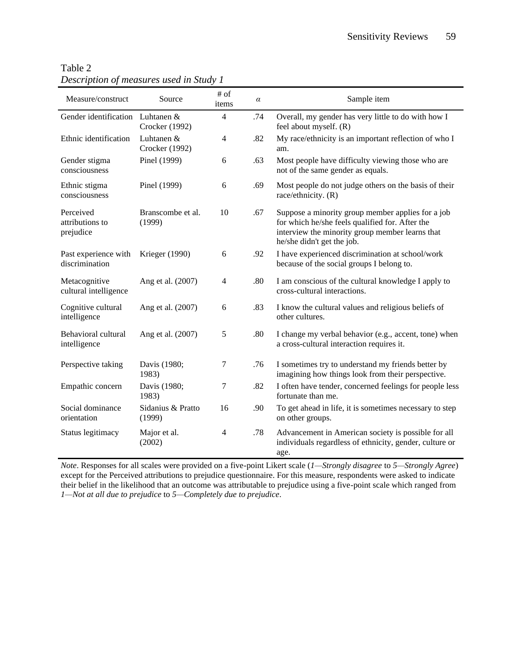| Measure/construct                         | Source                       | # of<br>items  | $\alpha$ | Sample item                                                                                                                                                                           |
|-------------------------------------------|------------------------------|----------------|----------|---------------------------------------------------------------------------------------------------------------------------------------------------------------------------------------|
| Gender identification Luhtanen &          | Crocker (1992)               | $\overline{4}$ | .74      | Overall, my gender has very little to do with how I<br>feel about myself. (R)                                                                                                         |
| Ethnic identification                     | Luhtanen &<br>Crocker (1992) | 4              | .82      | My race/ethnicity is an important reflection of who I<br>am.                                                                                                                          |
| Gender stigma<br>consciousness            | Pinel (1999)                 | 6              | .63      | Most people have difficulty viewing those who are<br>not of the same gender as equals.                                                                                                |
| Ethnic stigma<br>consciousness            | Pinel (1999)                 | 6              | .69      | Most people do not judge others on the basis of their<br>race/ethnicity. $(R)$                                                                                                        |
| Perceived<br>attributions to<br>prejudice | Branscombe et al.<br>(1999)  | 10             | .67      | Suppose a minority group member applies for a job<br>for which he/she feels qualified for. After the<br>interview the minority group member learns that<br>he/she didn't get the job. |
| Past experience with<br>discrimination    | Krieger (1990)               | 6              | .92      | I have experienced discrimination at school/work<br>because of the social groups I belong to.                                                                                         |
| Metacognitive<br>cultural intelligence    | Ang et al. (2007)            | 4              | .80      | I am conscious of the cultural knowledge I apply to<br>cross-cultural interactions.                                                                                                   |
| Cognitive cultural<br>intelligence        | Ang et al. (2007)            | 6              | .83      | I know the cultural values and religious beliefs of<br>other cultures.                                                                                                                |
| Behavioral cultural<br>intelligence       | Ang et al. (2007)            | 5              | .80      | I change my verbal behavior (e.g., accent, tone) when<br>a cross-cultural interaction requires it.                                                                                    |
| Perspective taking                        | Davis (1980;<br>1983)        | 7              | .76      | I sometimes try to understand my friends better by<br>imagining how things look from their perspective.                                                                               |
| Empathic concern                          | Davis (1980;<br>1983)        | 7              | .82      | I often have tender, concerned feelings for people less<br>fortunate than me.                                                                                                         |
| Social dominance<br>orientation           | Sidanius & Pratto<br>(1999)  | 16             | .90      | To get ahead in life, it is sometimes necessary to step<br>on other groups.                                                                                                           |
| Status legitimacy                         | Major et al.<br>(2002)       | 4              | .78      | Advancement in American society is possible for all<br>individuals regardless of ethnicity, gender, culture or<br>age.                                                                |

# Table 2 *Description of measures used in Study 1*

*Note*. Responses for all scales were provided on a five-point Likert scale (*1—Strongly disagree* to *5—Strongly Agree*) except for the Perceived attributions to prejudice questionnaire. For this measure, respondents were asked to indicate their belief in the likelihood that an outcome was attributable to prejudice using a five-point scale which ranged from *1—Not at all due to prejudice* to *5—Completely due to prejudice*.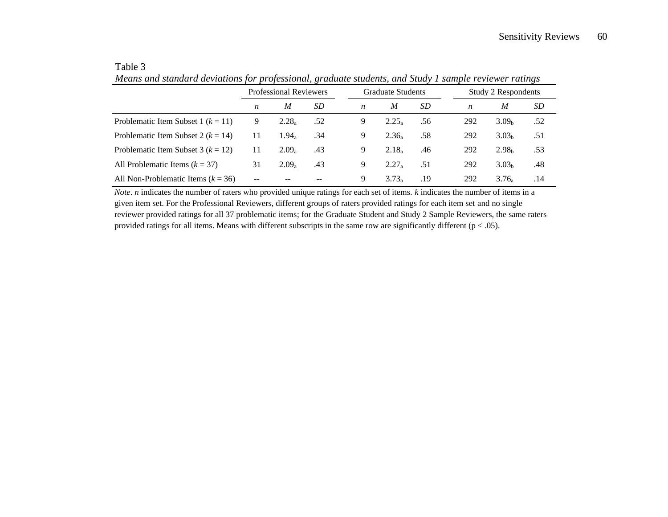| н. |  |
|----|--|
|    |  |

*Means and standard deviations for professional, graduate students, and Study 1 sample reviewer ratings* 

|                                        | <b>Professional Reviewers</b>         |                   |     |   | Graduate Students |     |     | Study 2 Respondents |     |  |  |
|----------------------------------------|---------------------------------------|-------------------|-----|---|-------------------|-----|-----|---------------------|-----|--|--|
|                                        | n                                     | M                 | SD  | n | M                 | SD  | n   | M                   | SD. |  |  |
| Problematic Item Subset 1 ( $k = 11$ ) | 9                                     | $2.28_a$          | .52 | 9 | 2.25a             | .56 | 292 | 3.09 <sub>b</sub>   | .52 |  |  |
| Problematic Item Subset 2 ( $k = 14$ ) | 11                                    | $1.94\text{s}$    | .34 | 9 | $2.36\%$          | .58 | 292 | 3.03 <sub>b</sub>   | .51 |  |  |
| Problematic Item Subset 3 ( $k = 12$ ) | 11                                    | $2.09_a$          | .43 | 9 | $2.18_a$          | .46 | 292 | 2.98 <sub>b</sub>   | .53 |  |  |
| All Problematic Items $(k = 37)$       | 31                                    | 2.09 <sub>a</sub> | .43 | 9 | 2.27 <sub>a</sub> | .51 | 292 | 3.03 <sub>b</sub>   | .48 |  |  |
| All Non-Problematic Items $(k = 36)$   | $\hspace{0.05cm}$ – $\hspace{0.05cm}$ |                   | --  | 9 | 3.73 <sub>a</sub> | .19 | 292 | $3.76\%$            | .14 |  |  |

*Note*. *n* indicates the number of raters who provided unique ratings for each set of items. *k* indicates the number of items in a given item set. For the Professional Reviewers, different groups of raters provided ratings for each item set and no single reviewer provided ratings for all 37 problematic items; for the Graduate Student and Study 2 Sample Reviewers, the same raters provided ratings for all items. Means with different subscripts in the same row are significantly different ( $p < .05$ ).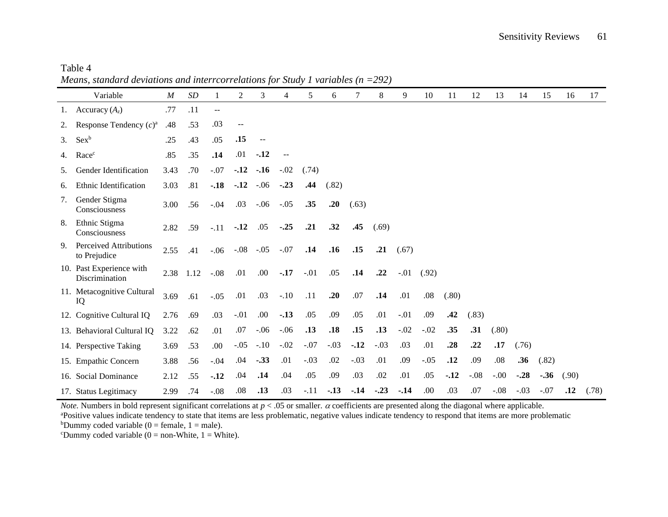|    | Variable                                      | $\boldsymbol{M}$ | SD   |        | 2      | 3      | 4      | 5      | 6      | 7      | 8      | 9      | 10     | 11     | 12     | 13      | 14     | 15     | 16    | 17    |
|----|-----------------------------------------------|------------------|------|--------|--------|--------|--------|--------|--------|--------|--------|--------|--------|--------|--------|---------|--------|--------|-------|-------|
| 1. | Accuracy $(A_z)$                              | .77              | .11  | $-$    |        |        |        |        |        |        |        |        |        |        |        |         |        |        |       |       |
| 2. | Response Tendency $(c)^a$                     | .48              | .53  | .03    |        |        |        |        |        |        |        |        |        |        |        |         |        |        |       |       |
| 3. | $Sex^b$                                       | .25              | .43  | .05    | .15    | $-\,-$ |        |        |        |        |        |        |        |        |        |         |        |        |       |       |
| 4. | Racec                                         | .85              | .35  | .14    | .01    | $-.12$ |        |        |        |        |        |        |        |        |        |         |        |        |       |       |
| 5. | Gender Identification                         | 3.43             | .70  | $-.07$ | $-.12$ | $-.16$ | $-.02$ | (.74)  |        |        |        |        |        |        |        |         |        |        |       |       |
| 6. | Ethnic Identification                         | 3.03             | .81  | $-.18$ | $-.12$ | $-.06$ | $-.23$ | .44    | (.82)  |        |        |        |        |        |        |         |        |        |       |       |
| 7. | Gender Stigma<br>Consciousness                | 3.00             | .56  | $-.04$ | .03    | $-.06$ | $-.05$ | .35    | .20    | (.63)  |        |        |        |        |        |         |        |        |       |       |
| 8. | Ethnic Stigma<br>Consciousness                | 2.82             | .59  | $-.11$ | $-.12$ | .05    | $-.25$ | .21    | .32    | .45    | (.69)  |        |        |        |        |         |        |        |       |       |
| 9. | <b>Perceived Attributions</b><br>to Prejudice | 2.55             | .41  | $-.06$ | $-.08$ | $-.05$ | $-.07$ | .14    | .16    | .15    | .21    | (.67)  |        |        |        |         |        |        |       |       |
|    | 10. Past Experience with<br>Discrimination    | 2.38             | 1.12 | $-.08$ | .01    | .00.   | $-.17$ | $-.01$ | .05    | .14    | .22    | $-.01$ | (.92)  |        |        |         |        |        |       |       |
|    | 11. Metacognitive Cultural<br>IQ              | 3.69             | .61  | $-.05$ | .01    | .03    | $-.10$ | .11    | .20    | .07    | .14    | .01    | .08    | (.80)  |        |         |        |        |       |       |
|    | 12. Cognitive Cultural IQ                     | 2.76             | .69  | .03    | $-.01$ | .00    | $-.13$ | .05    | .09    | .05    | .01    | $-.01$ | .09    | .42    | (.83)  |         |        |        |       |       |
|    | 13. Behavioral Cultural IQ                    | 3.22             | .62  | .01    | .07    | $-.06$ | $-.06$ | .13    | .18    | .15    | .13    | $-.02$ | $-.02$ | .35    | .31    | (.80)   |        |        |       |       |
|    | 14. Perspective Taking                        | 3.69             | .53  | .00    | $-.05$ | $-.10$ | $-.02$ | $-.07$ | $-.03$ | $-.12$ | $-.03$ | .03    | .01    | .28    | .22    | .17     | (.76)  |        |       |       |
|    | 15. Empathic Concern                          | 3.88             | .56  | $-.04$ | .04    | $-.33$ | .01    | $-.03$ | .02    | $-.03$ | .01    | .09    | $-.05$ | .12    | .09    | .08     | .36    | (.82)  |       |       |
|    | 16. Social Dominance                          | 2.12             | .55  | $-.12$ | .04    | .14    | .04    | .05    | .09    | .03    | .02    | .01    | .05    | $-.12$ | $-.08$ | $-.00.$ | $-.28$ | $-.36$ | (.90) |       |
|    | 17. Status Legitimacy                         | 2.99             | .74  | $-.08$ | .08    | .13    | .03    | $-.11$ | $-.13$ | $-14$  | $-.23$ | $-14$  | .00.   | .03    | .07    | $-.08$  | $-.03$ | $-.07$ | .12   | (.78) |

Table 4 *Means, standard deviations and interrcorrelations for Study 1 variables (n =292)*

*Note.* Numbers in bold represent significant correlations at  $p < .05$  or smaller.  $\alpha$  coefficients are presented along the diagonal where applicable. <sup>a</sup>Positive values indicate tendency to state that items are less problematic, negative values indicate tendency to respond that items are more problematic <sup>b</sup>Dummy coded variable (0 = female, 1 = male).

<sup>c</sup>Dummy coded variable ( $0 =$  non-White, 1 = White).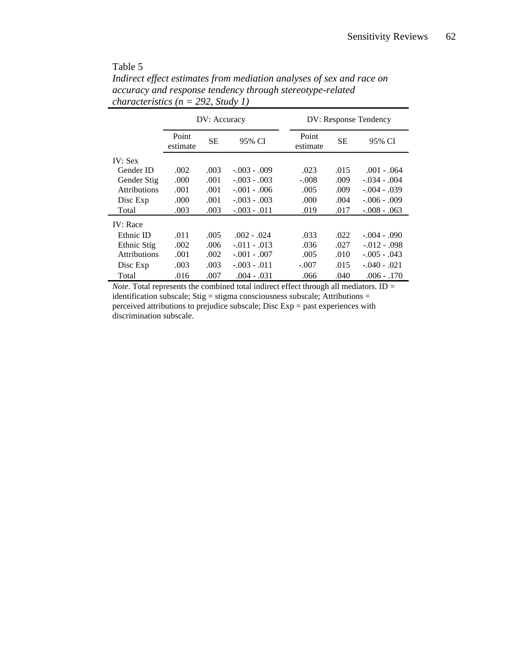## Table 5

| characteristics $(n = 292, \text{ Study } I)$ |                   |              |               |                   |                       |               |  |  |  |  |  |
|-----------------------------------------------|-------------------|--------------|---------------|-------------------|-----------------------|---------------|--|--|--|--|--|
|                                               |                   | DV: Accuracy |               |                   | DV: Response Tendency |               |  |  |  |  |  |
|                                               | Point<br>estimate | SЕ           | 95% CI        | Point<br>estimate | <b>SE</b>             | 95% CI        |  |  |  |  |  |
| $IV:$ Sex                                     |                   |              |               |                   |                       |               |  |  |  |  |  |
| Gender ID                                     | .002              | .003         | $-.003-.009$  | .023              | .015                  | $.001 - .064$ |  |  |  |  |  |
| Gender Stig                                   | .000              | .001         | $-.003-.003$  | $-.008$           | .009                  | $-.034-.004$  |  |  |  |  |  |
| <b>Attributions</b>                           | .001              | .001         | $-.001-.006$  | .005              | .009                  | $-.004-.039$  |  |  |  |  |  |
| Disc Exp                                      | .000              | .001         | $-.003-.003$  | .000              | .004                  | $-.006-.009$  |  |  |  |  |  |
| Total                                         | .003              | .003         | $-.003-.011$  | .019              | .017                  | $-.008-.063$  |  |  |  |  |  |
| <b>IV</b> : Race                              |                   |              |               |                   |                       |               |  |  |  |  |  |
| Ethnic ID                                     | .011              | .005         | $.002 - .024$ | .033              | .022                  | $-.004-.090$  |  |  |  |  |  |
| Ethnic Stig                                   | .002              | .006         | $-.011-.013$  | .036              | .027                  | $-.012-.098$  |  |  |  |  |  |
| <b>Attributions</b>                           | .001              | .002         | $-.001-.007$  | .005              | .010                  | $-.005-.043$  |  |  |  |  |  |
| Disc Exp                                      | .003              | .003         | $-.003-.011$  | $-.007$           | .015                  | $-.040-.021$  |  |  |  |  |  |
| Total                                         | .016              | .007         | .004 - .031   | .066              | .040                  | $.006 - .170$ |  |  |  |  |  |

*Indirect effect estimates from mediation analyses of sex and race on accuracy and response tendency through stereotype-related characteristics (n = 292, Study 1)*

*Note*. Total represents the combined total indirect effect through all mediators. ID = identification subscale; Stig = stigma consciousness subscale; Attributions = perceived attributions to prejudice subscale; Disc Exp = past experiences with discrimination subscale.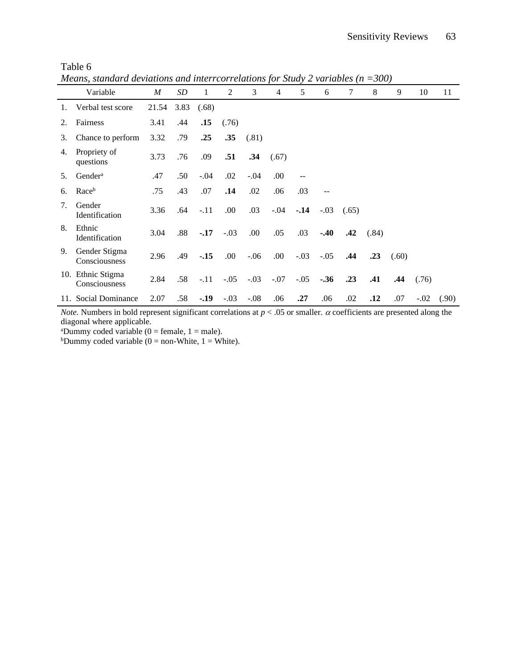|    | <i>Means, standard deviations and interrcorrelations for Study 2 variables (n <math>=</math> 500)</i> |       |                 |        |        |        |        |        |        |       |                  |       |        |       |
|----|-------------------------------------------------------------------------------------------------------|-------|-----------------|--------|--------|--------|--------|--------|--------|-------|------------------|-------|--------|-------|
|    | Variable                                                                                              | M     | SD <sub>-</sub> | 1      | 2      | 3      | 4      | 5      | 6      | 7     | 8                | 9     | 10     | 11    |
| 1. | Verbal test score                                                                                     | 21.54 | 3.83            | (.68)  |        |        |        |        |        |       |                  |       |        |       |
| 2. | Fairness                                                                                              | 3.41  | .44             | .15    | (.76)  |        |        |        |        |       |                  |       |        |       |
| 3. | Chance to perform                                                                                     | 3.32  | .79             | .25    | .35    | (.81)  |        |        |        |       |                  |       |        |       |
| 4. | Propriety of<br>questions                                                                             | 3.73  | .76             | .09    | .51    | .34    | (.67)  |        |        |       |                  |       |        |       |
| 5. | Gender <sup>a</sup>                                                                                   | .47   | .50             | $-.04$ | .02    | $-.04$ | .00    |        |        |       |                  |       |        |       |
| 6. | Raceb                                                                                                 | .75   | .43             | .07    | .14    | .02    | .06    | .03    |        |       |                  |       |        |       |
| 7. | Gender<br>Identification                                                                              | 3.36  | .64             | $-.11$ | .00    | .03    | $-.04$ | $-14$  | $-.03$ | (.65) |                  |       |        |       |
| 8. | Ethnic<br>Identification                                                                              | 3.04  | .88             | $-17$  | $-.03$ | .00    | .05    | .03    | $-.40$ | .42   | (.84)            |       |        |       |
| 9. | Gender Stigma<br>Consciousness                                                                        | 2.96  | .49             | $-.15$ | .00.   | $-.06$ | .00.   | $-.03$ | $-.05$ | .44   | $.23\phantom{0}$ | (.60) |        |       |
|    | 10. Ethnic Stigma<br>Consciousness                                                                    | 2.84  | .58             | $-.11$ | $-.05$ | $-.03$ | $-.07$ | $-.05$ | $-.36$ | .23   | .41              | .44   | (.76)  |       |
|    | 11. Social Dominance                                                                                  | 2.07  | .58             | $-.19$ | $-.03$ | $-.08$ | .06    | .27    | .06    | .02   | .12              | .07   | $-.02$ | (.90) |

Table 6 *Means, standard deviations and interrcorrelations for Study 2 variables (n =300)*

*Note.* Numbers in bold represent significant correlations at  $p < .05$  or smaller.  $\alpha$  coefficients are presented along the diagonal where applicable.

<sup>a</sup>Dummy coded variable ( $0 =$  female,  $1 =$  male).

bDummy coded variable  $(0 = non-White, 1 = White)$ .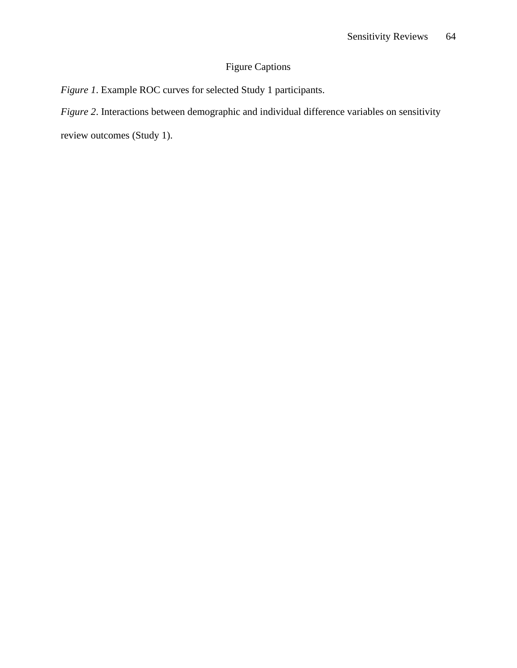# Figure Captions

*Figure 1*. Example ROC curves for selected Study 1 participants.

*Figure 2*. Interactions between demographic and individual difference variables on sensitivity

review outcomes (Study 1).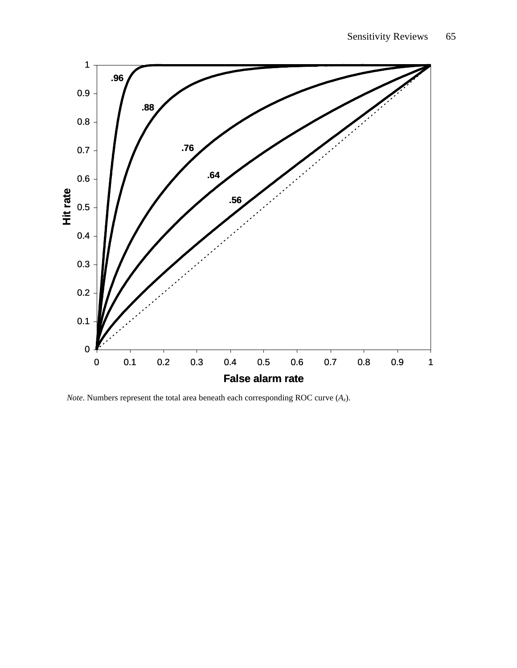

*Note*. Numbers represent the total area beneath each corresponding ROC curve (*Az*).